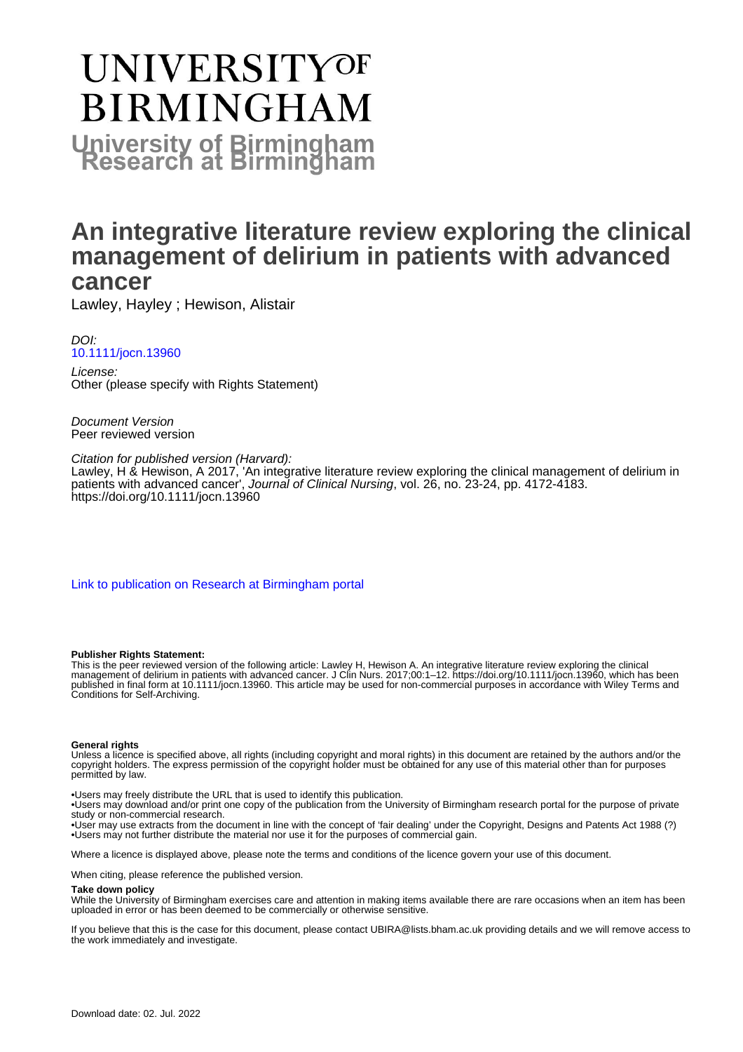# **UNIVERSITYOF BIRMINGHAM University of Birmingham**

## **An integrative literature review exploring the clinical management of delirium in patients with advanced cancer**

Lawley, Hayley ; Hewison, Alistair

DOI: [10.1111/jocn.13960](https://doi.org/10.1111/jocn.13960)

License: Other (please specify with Rights Statement)

Document Version Peer reviewed version

Citation for published version (Harvard): Lawley, H & Hewison, A 2017, 'An integrative literature review exploring the clinical management of delirium in patients with advanced cancer', *Journal of Clinical Nursing*, vol. 26, no. 23-24, pp. 4172-4183. <https://doi.org/10.1111/jocn.13960>

[Link to publication on Research at Birmingham portal](https://birmingham.elsevierpure.com/en/publications/a826c241-f384-46c4-b565-066ba04a24b5)

#### **Publisher Rights Statement:**

This is the peer reviewed version of the following article: Lawley H, Hewison A. An integrative literature review exploring the clinical management of delirium in patients with advanced cancer. J Clin Nurs. 2017;00:1–12. https://doi.org/10.1111/jocn.13960, which has been published in final form at 10.1111/jocn.13960. This article may be used for non-commercial purposes in accordance with Wiley Terms and Conditions for Self-Archiving.

#### **General rights**

Unless a licence is specified above, all rights (including copyright and moral rights) in this document are retained by the authors and/or the copyright holders. The express permission of the copyright holder must be obtained for any use of this material other than for purposes permitted by law.

• Users may freely distribute the URL that is used to identify this publication.

• Users may download and/or print one copy of the publication from the University of Birmingham research portal for the purpose of private study or non-commercial research.

• User may use extracts from the document in line with the concept of 'fair dealing' under the Copyright, Designs and Patents Act 1988 (?) • Users may not further distribute the material nor use it for the purposes of commercial gain.

Where a licence is displayed above, please note the terms and conditions of the licence govern your use of this document.

When citing, please reference the published version.

#### **Take down policy**

While the University of Birmingham exercises care and attention in making items available there are rare occasions when an item has been uploaded in error or has been deemed to be commercially or otherwise sensitive.

If you believe that this is the case for this document, please contact UBIRA@lists.bham.ac.uk providing details and we will remove access to the work immediately and investigate.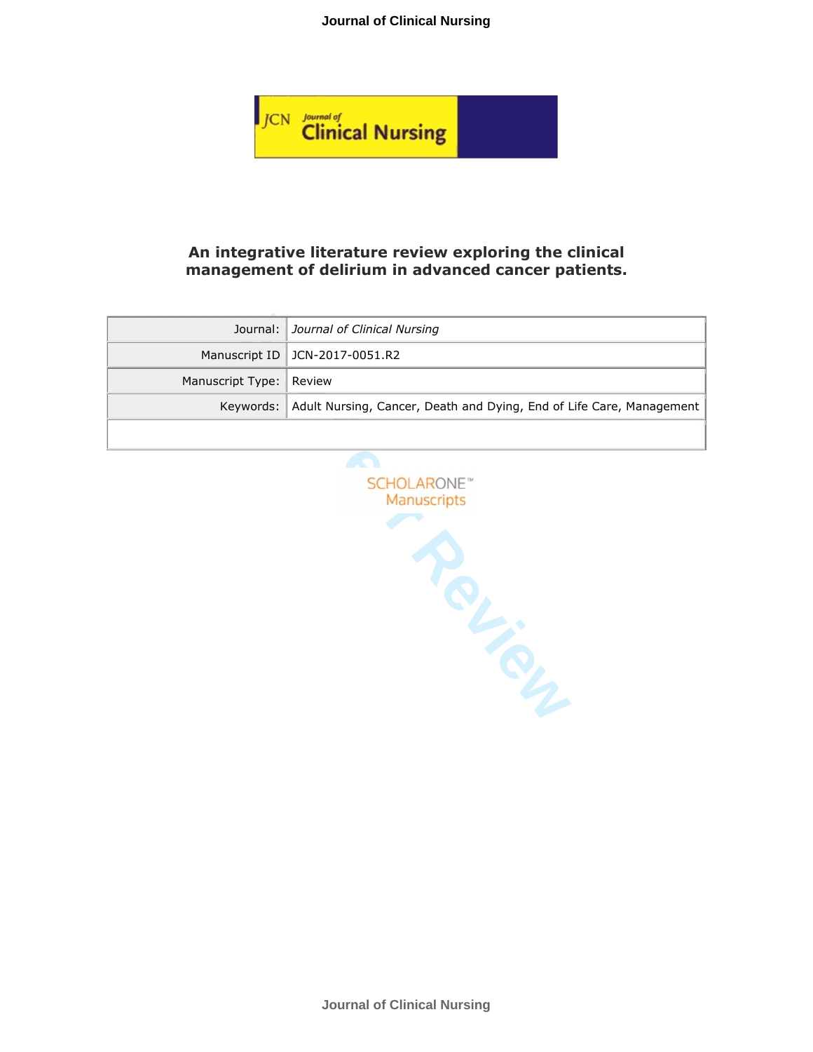#### **Journal of Clinical Nursing**



#### **An integrative literature review exploring the clinical management of delirium in advanced cancer patients.**

|                         | Journal: Journal of Clinical Nursing                                           |
|-------------------------|--------------------------------------------------------------------------------|
|                         | Manuscript ID   JCN-2017-0051.R2                                               |
| Manuscript Type: Review |                                                                                |
|                         | Keywords: Adult Nursing, Cancer, Death and Dying, End of Life Care, Management |
|                         |                                                                                |

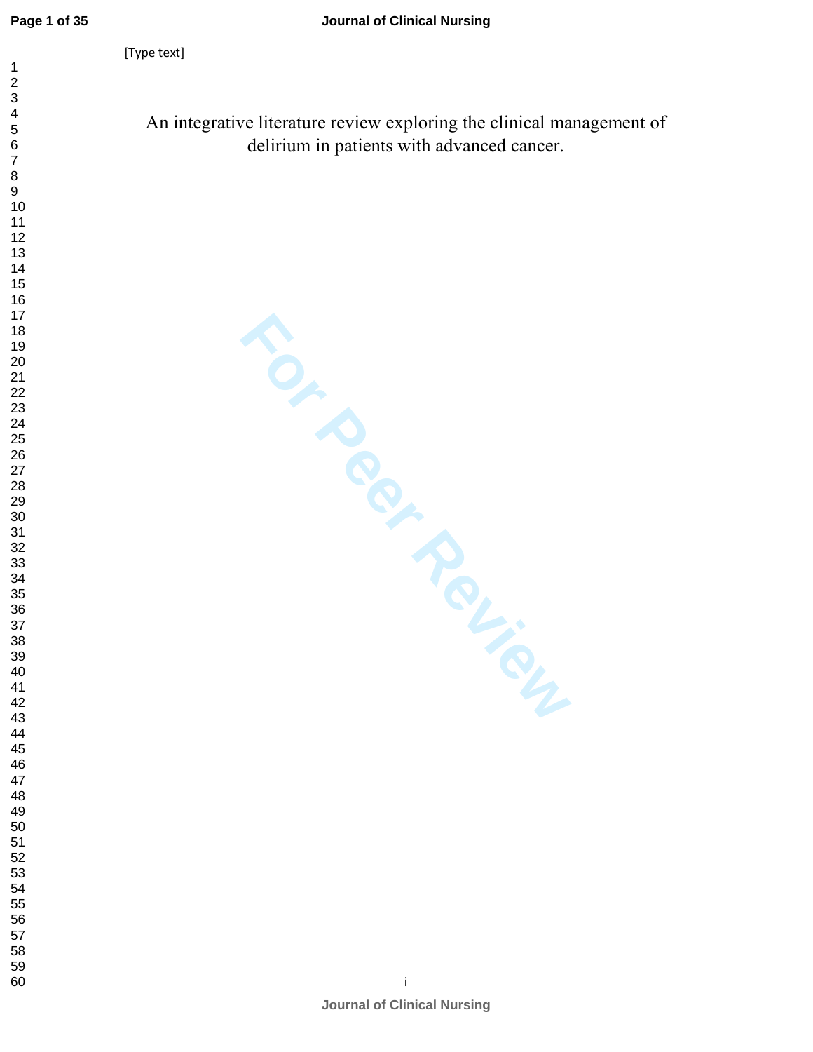An integrative literature review exploring the clinical management of delirium in patients with advanced cancer.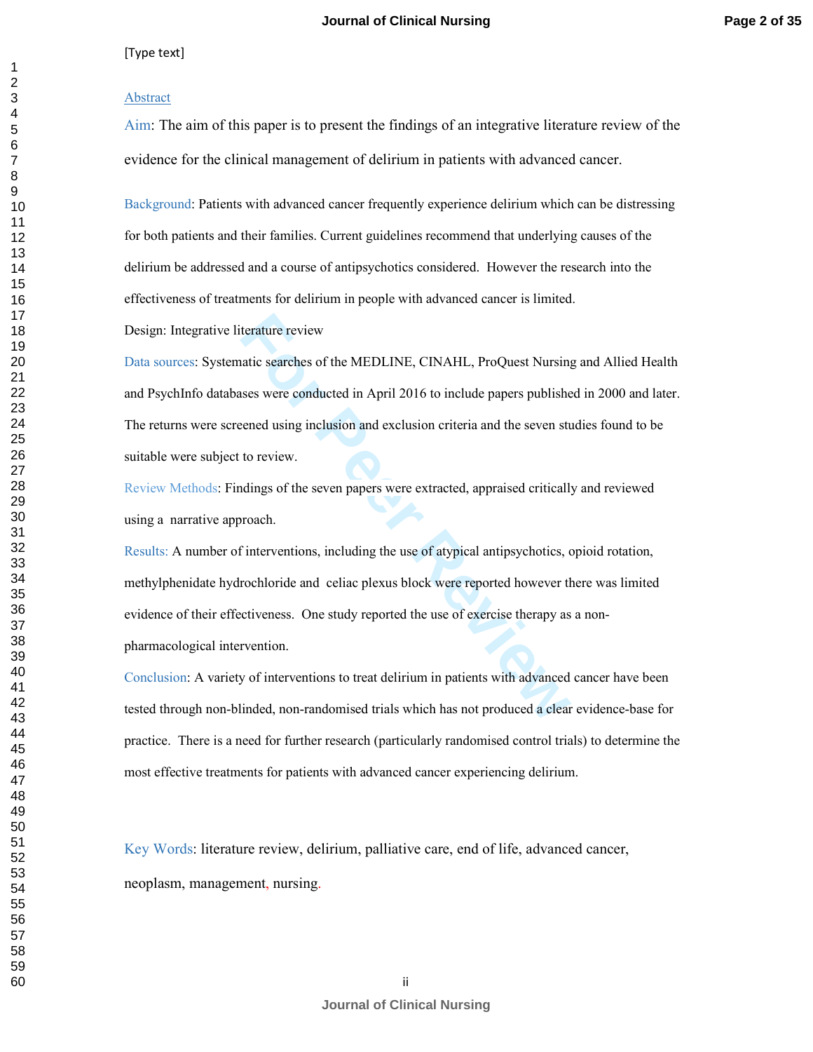#### Abstract

Aim: The aim of this paper is to present the findings of an integrative literature review of the evidence for the clinical management of delirium in patients with advanced cancer.

Background: Patients with advanced cancer frequently experience delirium which can be distressing for both patients and their families. Current guidelines recommend that underlying causes of the delirium be addressed and a course of antipsychotics considered. However the research into the effectiveness of treatments for delirium in people with advanced cancer is limited.

Design: Integrative literature review

terature review<br>attic searches of the MEDLINE, CINAHL, ProQuest Nursing<br>sess were conducted in April 2016 to include papers publishe<br>eened using inclusion and exclusion criteria and the seven st<br>to review.<br>dings of the sev Data sources: Systematic searches of the MEDLINE, CINAHL, ProQuest Nursing and Allied Health and PsychInfo databases were conducted in April 2016 to include papers published in 2000 and later. The returns were screened using inclusion and exclusion criteria and the seven studies found to be suitable were subject to review.

Review Methods: Findings of the seven papers were extracted, appraised critically and reviewed using a narrative approach.

Results: A number of interventions, including the use of atypical antipsychotics, opioid rotation, methylphenidate hydrochloride and celiac plexus block were reported however there was limited evidence of their effectiveness. One study reported the use of exercise therapy as a nonpharmacological intervention.

Conclusion: A variety of interventions to treat delirium in patients with advanced cancer have been tested through non-blinded, non-randomised trials which has not produced a clear evidence-base for practice. There is a need for further research (particularly randomised control trials) to determine the most effective treatments for patients with advanced cancer experiencing delirium.

Key Words: literature review, delirium, palliative care, end of life, advanced cancer, neoplasm, management, nursing.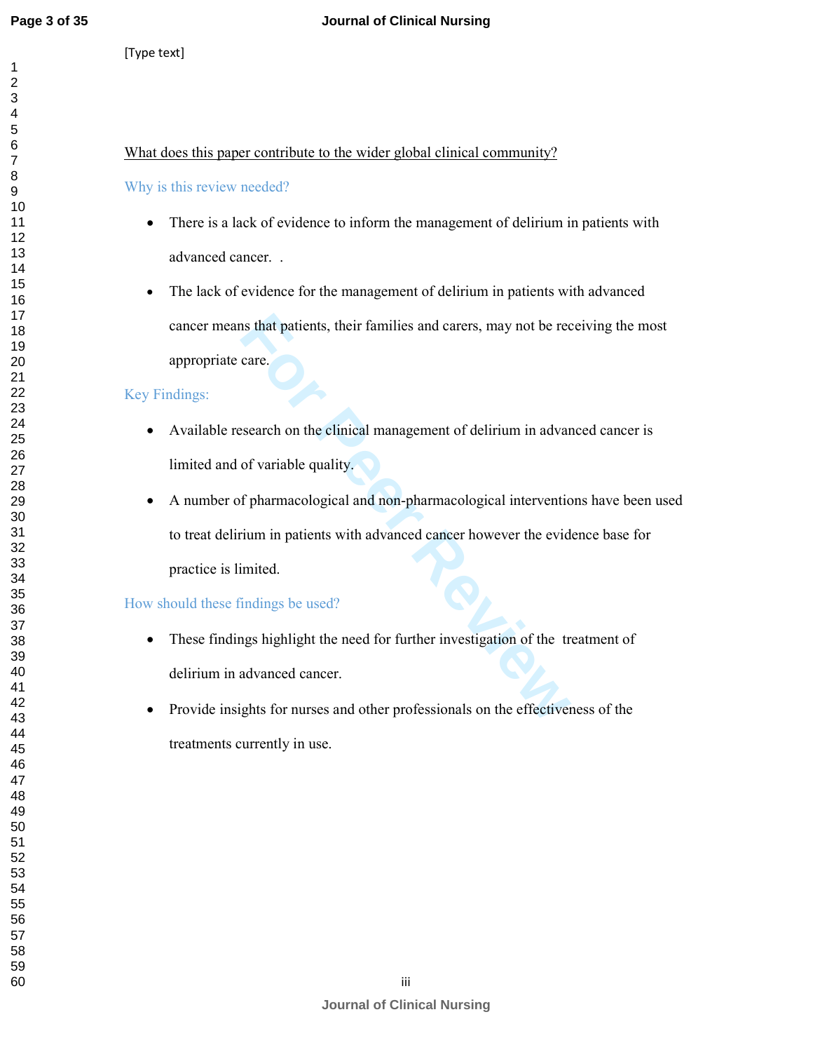#### **Journal of Clinical Nursing**

[Type text]

#### What does this paper contribute to the wider global clinical community?

#### Why is this review needed?

- There is a lack of evidence to inform the management of delirium in patients with advanced cancer. .
- The lack of evidence for the management of delirium in patients with advanced cancer means that patients, their families and carers, may not be receiving the most appropriate care.

#### Key Findings:

- Available research on the clinical management of delirium in advanced cancer is limited and of variable quality.
- In the particular text their families and carers, may not be recence.<br> **For Peer Review Contains 2** of variable quality.<br> **For Perry Algorith Contains 2** of variable quality.<br> **For Perry Algorith Contains 2** of permaneolog • A number of pharmacological and non-pharmacological interventions have been used to treat delirium in patients with advanced cancer however the evidence base for practice is limited.

#### How should these findings be used?

- These findings highlight the need for further investigation of the treatment of delirium in advanced cancer.
- Provide insights for nurses and other professionals on the effectiveness of the treatments currently in use.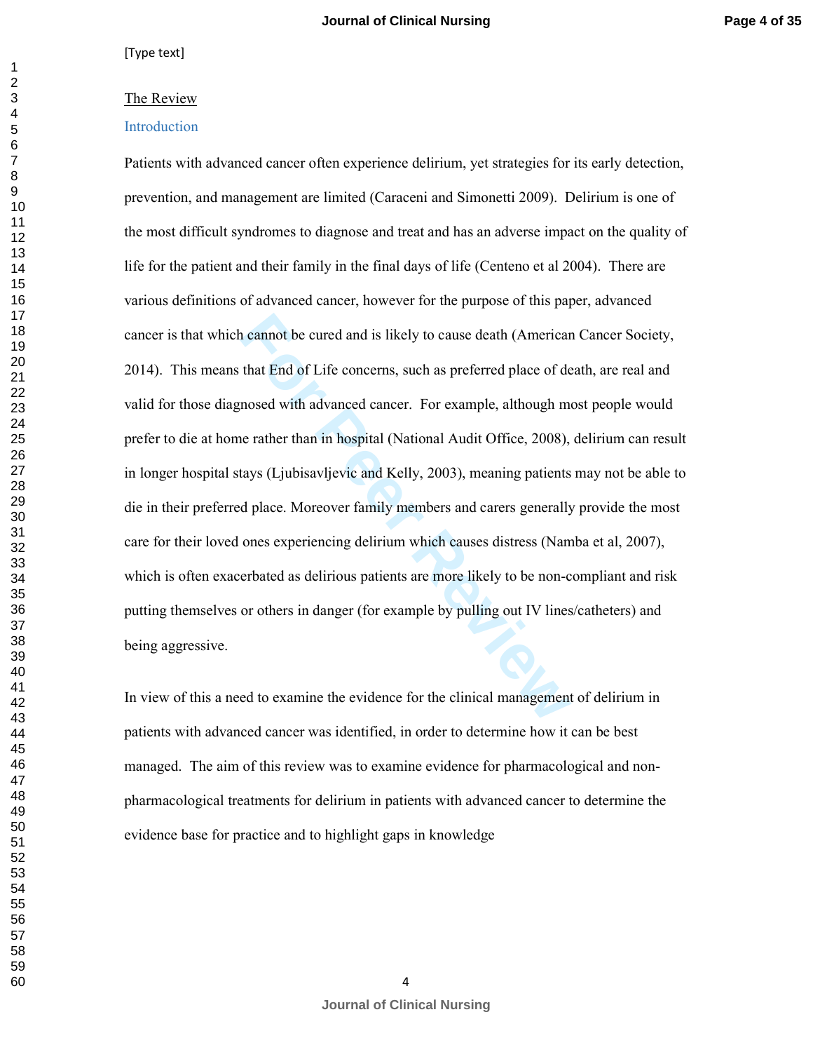#### The Review

#### Introduction

related and is likely to cause death (American<br>that End of Life concerns, such as preferred place of de<br>nosed with advanced cancer. For example, although me<br>relater than in hospital (National Audit Office, 2008),<br>tays (Lju Patients with advanced cancer often experience delirium, yet strategies for its early detection, prevention, and management are limited (Caraceni and Simonetti 2009). Delirium is one of the most difficult syndromes to diagnose and treat and has an adverse impact on the quality of life for the patient and their family in the final days of life (Centeno et al 2004). There are various definitions of advanced cancer, however for the purpose of this paper, advanced cancer is that which cannot be cured and is likely to cause death (American Cancer Society, 2014). This means that End of Life concerns, such as preferred place of death, are real and valid for those diagnosed with advanced cancer. For example, although most people would prefer to die at home rather than in hospital (National Audit Office, 2008), delirium can result in longer hospital stays (Ljubisavljevic and Kelly, 2003), meaning patients may not be able to die in their preferred place. Moreover family members and carers generally provide the most care for their loved ones experiencing delirium which causes distress (Namba et al, 2007), which is often exacerbated as delirious patients are more likely to be non-compliant and risk putting themselves or others in danger (for example by pulling out IV lines/catheters) and being aggressive.

In view of this a need to examine the evidence for the clinical management of delirium in patients with advanced cancer was identified, in order to determine how it can be best managed. The aim of this review was to examine evidence for pharmacological and nonpharmacological treatments for delirium in patients with advanced cancer to determine the evidence base for practice and to highlight gaps in knowledge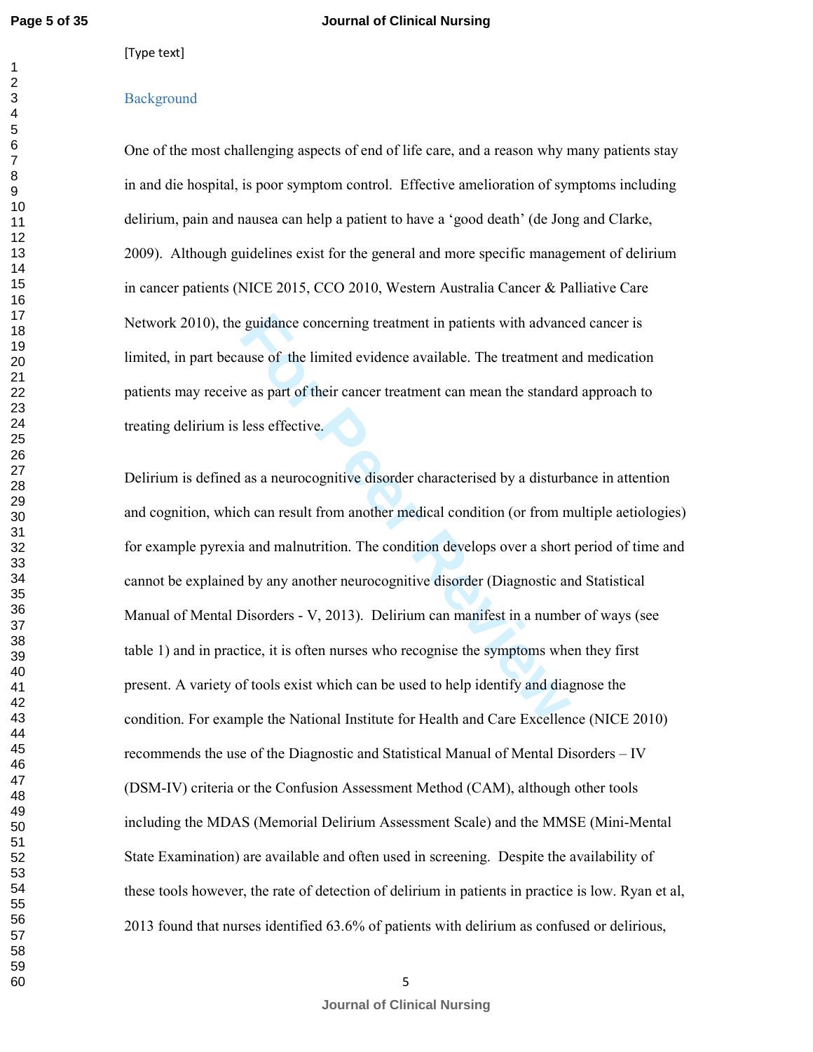#### [Type text]

#### **Background**

One of the most challenging aspects of end of life care, and a reason why many patients stay in and die hospital, is poor symptom control. Effective amelioration of symptoms including delirium, pain and nausea can help a patient to have a 'good death' (de Jong and Clarke, 2009). Although guidelines exist for the general and more specific management of delirium in cancer patients (NICE 2015, CCO 2010, Western Australia Cancer & Palliative Care Network 2010), the guidance concerning treatment in patients with advanced cancer is limited, in part because of the limited evidence available. The treatment and medication patients may receive as part of their cancer treatment can mean the standard approach to treating delirium is less effective.

guidance concerning treatment in patients with advance<br>suse of the limited evidence available. The treatment are<br>as part of their cancer treatment can mean the standar<br>less effective.<br>as a neurocognitive disorder character Delirium is defined as a neurocognitive disorder characterised by a disturbance in attention and cognition, which can result from another medical condition (or from multiple aetiologies) for example pyrexia and malnutrition. The condition develops over a short period of time and cannot be explained by any another neurocognitive disorder (Diagnostic and Statistical Manual of Mental Disorders - V, 2013). Delirium can manifest in a number of ways (see table 1) and in practice, it is often nurses who recognise the symptoms when they first present. A variety of tools exist which can be used to help identify and diagnose the condition. For example the National Institute for Health and Care Excellence (NICE 2010) recommends the use of the Diagnostic and Statistical Manual of Mental Disorders – IV (DSM-IV) criteria or the Confusion Assessment Method (CAM), although other tools including the MDAS (Memorial Delirium Assessment Scale) and the MMSE (Mini-Mental State Examination) are available and often used in screening. Despite the availability of these tools however, the rate of detection of delirium in patients in practice is low. Ryan et al, 2013 found that nurses identified 63.6% of patients with delirium as confused or delirious,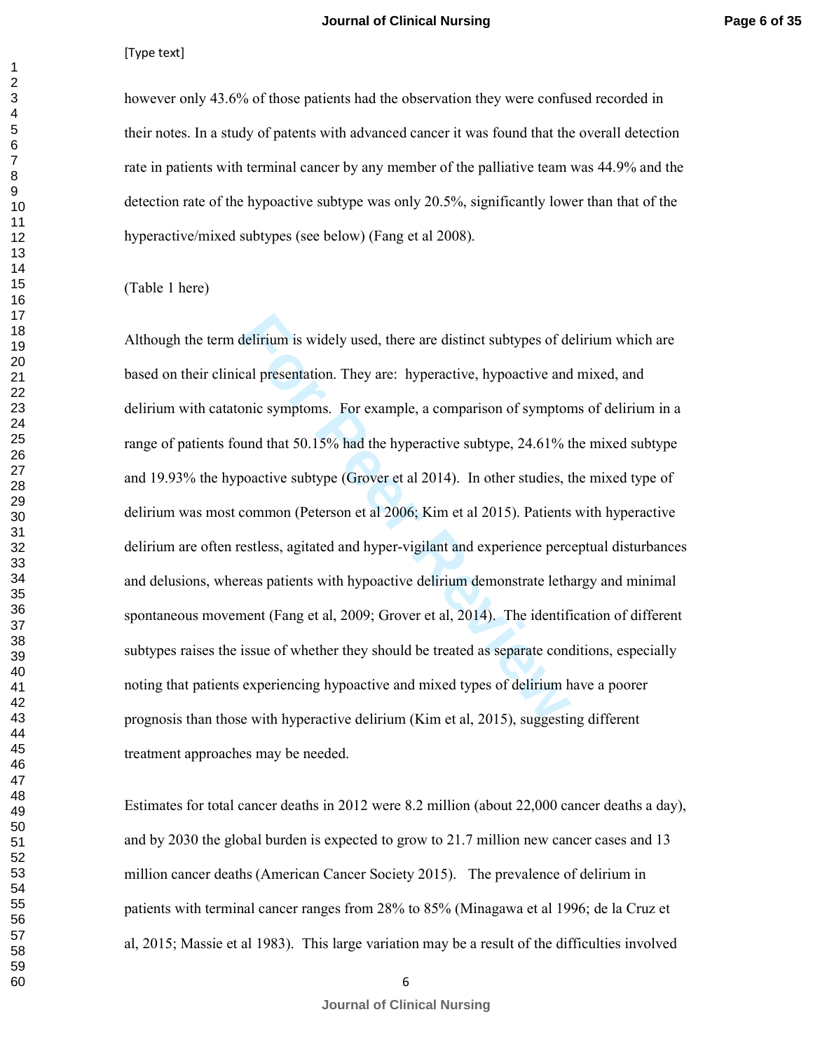#### **Page 6 of 35**

#### [Type text]

however only 43.6% of those patients had the observation they were confused recorded in their notes. In a study of patents with advanced cancer it was found that the overall detection rate in patients with terminal cancer by any member of the palliative team was 44.9% and the detection rate of the hypoactive subtype was only 20.5%, significantly lower than that of the hyperactive/mixed subtypes (see below) (Fang et al 2008).

#### (Table 1 here)

delirium is widely used, there are distinct subtypes of de<br>cal presentation. They are: hyperactive, hypoactive and<br>onic symptoms. For example, a comparison of symptor<br>und that 50.15% had the hyperactive subtype, 24.61% t<br>o Although the term delirium is widely used, there are distinct subtypes of delirium which are based on their clinical presentation. They are: hyperactive, hypoactive and mixed, and delirium with catatonic symptoms. For example, a comparison of symptoms of delirium in a range of patients found that 50.15% had the hyperactive subtype, 24.61% the mixed subtype and 19.93% the hypoactive subtype (Grover et al 2014). In other studies, the mixed type of delirium was most common (Peterson et al 2006; Kim et al 2015). Patients with hyperactive delirium are often restless, agitated and hyper-vigilant and experience perceptual disturbances and delusions, whereas patients with hypoactive delirium demonstrate lethargy and minimal spontaneous movement (Fang et al, 2009; Grover et al, 2014). The identification of different subtypes raises the issue of whether they should be treated as separate conditions, especially noting that patients experiencing hypoactive and mixed types of delirium have a poorer prognosis than those with hyperactive delirium (Kim et al, 2015), suggesting different treatment approaches may be needed.

Estimates for total cancer deaths in 2012 were 8.2 million (about 22,000 cancer deaths a day), and by 2030 the global burden is expected to grow to 21.7 million new cancer cases and 13 million cancer deaths (American Cancer Society 2015). The prevalence of delirium in patients with terminal cancer ranges from 28% to 85% (Minagawa et al 1996; de la Cruz et al, 2015; Massie et al 1983). This large variation may be a result of the difficulties involved

 

**Journal of Clinical Nursing**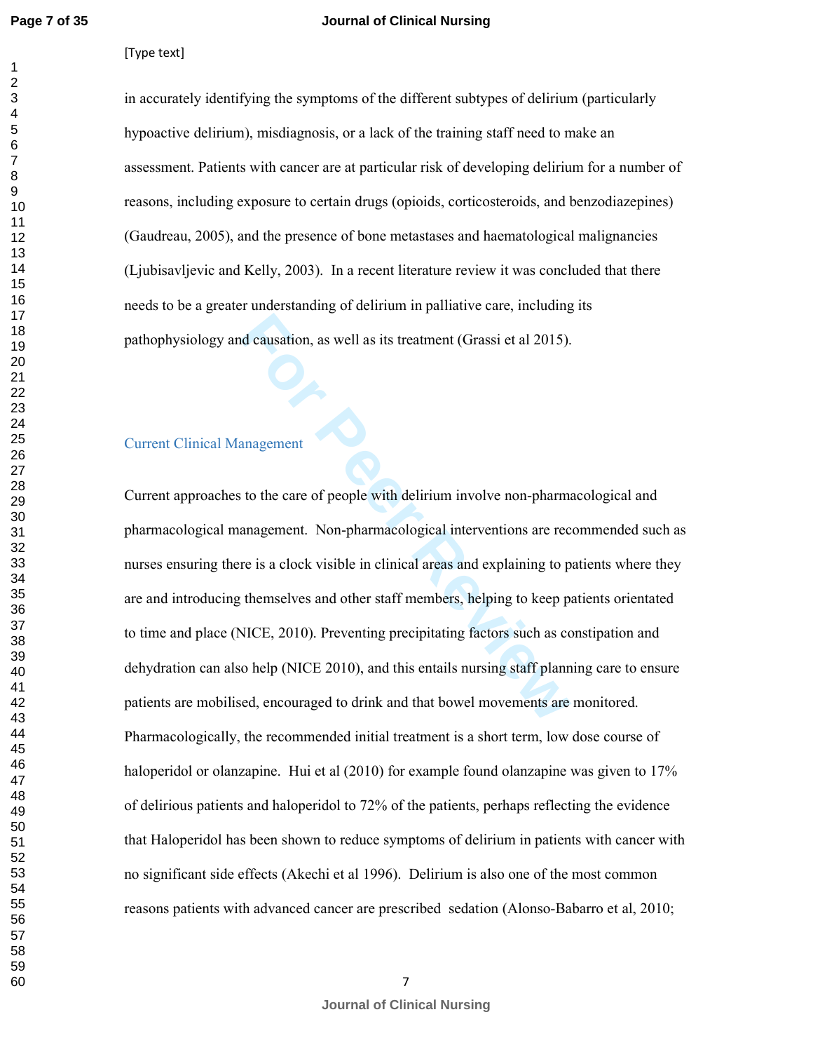$\mathbf{1}$ 

#### **Journal of Clinical Nursing**

[Type text]

in accurately identifying the symptoms of the different subtypes of delirium (particularly hypoactive delirium), misdiagnosis, or a lack of the training staff need to make an assessment. Patients with cancer are at particular risk of developing delirium for a number of reasons, including exposure to certain drugs (opioids, corticosteroids, and benzodiazepines) (Gaudreau, 2005), and the presence of bone metastases and haematological malignancies (Ljubisavljevic and Kelly, 2003). In a recent literature review it was concluded that there needs to be a greater understanding of delirium in palliative care, including its pathophysiology and causation, as well as its treatment (Grassi et al 2015).

# Current Clinical Management

**Example 12 Solution**, as well as its treatment (Grassi et al 2015).<br> **For Peer Review 12 Solution** in the care of people with delirium involve non-pharma<br> **For Peer Review Allen Constant Constant Constant Constant Constan** Current approaches to the care of people with delirium involve non-pharmacological and pharmacological management. Non-pharmacological interventions are recommended such as nurses ensuring there is a clock visible in clinical areas and explaining to patients where they are and introducing themselves and other staff members, helping to keep patients orientated to time and place (NICE, 2010). Preventing precipitating factors such as constipation and dehydration can also help (NICE 2010), and this entails nursing staff planning care to ensure patients are mobilised, encouraged to drink and that bowel movements are monitored. Pharmacologically, the recommended initial treatment is a short term, low dose course of haloperidol or olanzapine. Hui et al (2010) for example found olanzapine was given to 17% of delirious patients and haloperidol to 72% of the patients, perhaps reflecting the evidence that Haloperidol has been shown to reduce symptoms of delirium in patients with cancer with no significant side effects (Akechi et al 1996). Delirium is also one of the most common reasons patients with advanced cancer are prescribed sedation (Alonso-Babarro et al, 2010;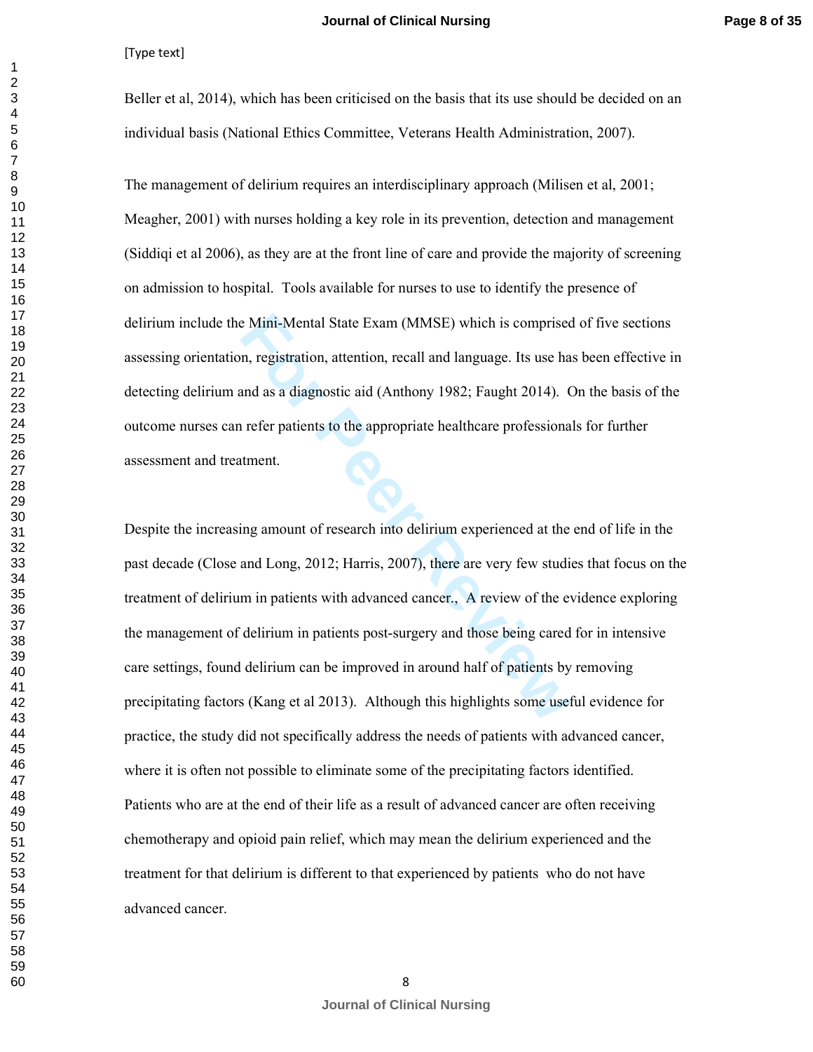Beller et al, 2014), which has been criticised on the basis that its use should be decided on an individual basis (National Ethics Committee, Veterans Health Administration, 2007).

The management of delirium requires an interdisciplinary approach (Milisen et al, 2001; Meagher, 2001) with nurses holding a key role in its prevention, detection and management (Siddiqi et al 2006), as they are at the front line of care and provide the majority of screening on admission to hospital. Tools available for nurses to use to identify the presence of delirium include the Mini-Mental State Exam (MMSE) which is comprised of five sections assessing orientation, registration, attention, recall and language. Its use has been effective in detecting delirium and as a diagnostic aid (Anthony 1982; Faught 2014). On the basis of the outcome nurses can refer patients to the appropriate healthcare professionals for further assessment and treatment.

EMini-Mental State Exam (MMSE) which is comprised in exam, registration, attention, recall and language. Its use has a diagnostic aid (Anthony 1982; Faught 2014). Concept refer patients to the appropriate healthcare profes Despite the increasing amount of research into delirium experienced at the end of life in the past decade (Close and Long, 2012; Harris, 2007), there are very few studies that focus on the treatment of delirium in patients with advanced cancer., A review of the evidence exploring the management of delirium in patients post-surgery and those being cared for in intensive care settings, found delirium can be improved in around half of patients by removing precipitating factors (Kang et al 2013). Although this highlights some useful evidence for practice, the study did not specifically address the needs of patients with advanced cancer, where it is often not possible to eliminate some of the precipitating factors identified. Patients who are at the end of their life as a result of advanced cancer are often receiving chemotherapy and opioid pain relief, which may mean the delirium experienced and the treatment for that delirium is different to that experienced by patients who do not have advanced cancer.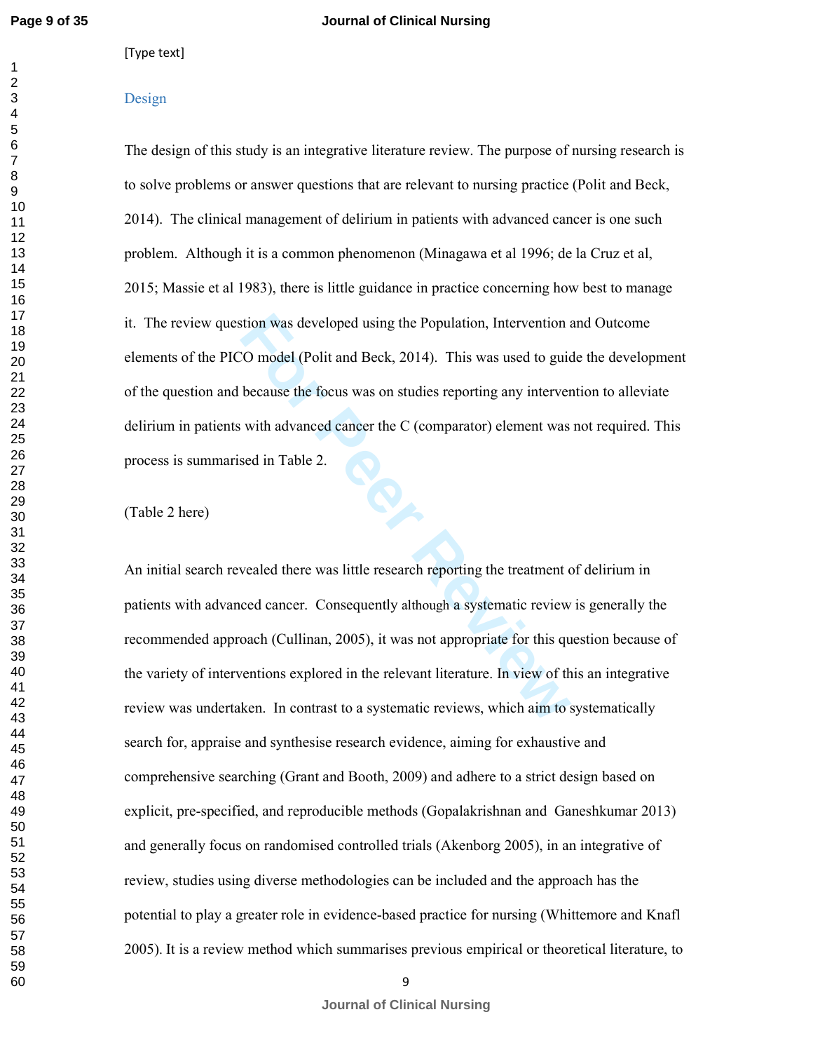$\mathbf{1}$  $\overline{2}$  [Type text]

#### Design

The design of this study is an integrative literature review. The purpose of nursing research is to solve problems or answer questions that are relevant to nursing practice (Polit and Beck, 2014). The clinical management of delirium in patients with advanced cancer is one such problem. Although it is a common phenomenon (Minagawa et al 1996; de la Cruz et al, 2015; Massie et al 1983), there is little guidance in practice concerning how best to manage it. The review question was developed using the Population, Intervention and Outcome elements of the PICO model (Polit and Beck, 2014). This was used to guide the development of the question and because the focus was on studies reporting any intervention to alleviate delirium in patients with advanced cancer the C (comparator) element was not required. This process is summarised in Table 2.

#### (Table 2 here)

Fraction was developed using the Population, Intervention and<br>
Formulation Composition and Beck, 2014). This was used to guid<br>
because the focus was on studies reporting any interver<br>
with advanced cancer the C (comparator An initial search revealed there was little research reporting the treatment of delirium in patients with advanced cancer. Consequently although a systematic review is generally the recommended approach (Cullinan, 2005), it was not appropriate for this question because of the variety of interventions explored in the relevant literature. In view of this an integrative review was undertaken. In contrast to a systematic reviews, which aim to systematically search for, appraise and synthesise research evidence, aiming for exhaustive and comprehensive searching (Grant and Booth, 2009) and adhere to a strict design based on explicit, pre-specified, and reproducible methods (Gopalakrishnan and Ganeshkumar 2013) and generally focus on randomised controlled trials (Akenborg 2005), in an integrative of review, studies using diverse methodologies can be included and the approach has the potential to play a greater role in evidence-based practice for nursing (Whittemore and Knafl 2005). It is a review method which summarises previous empirical or theoretical literature, to

**Journal of Clinical Nursing**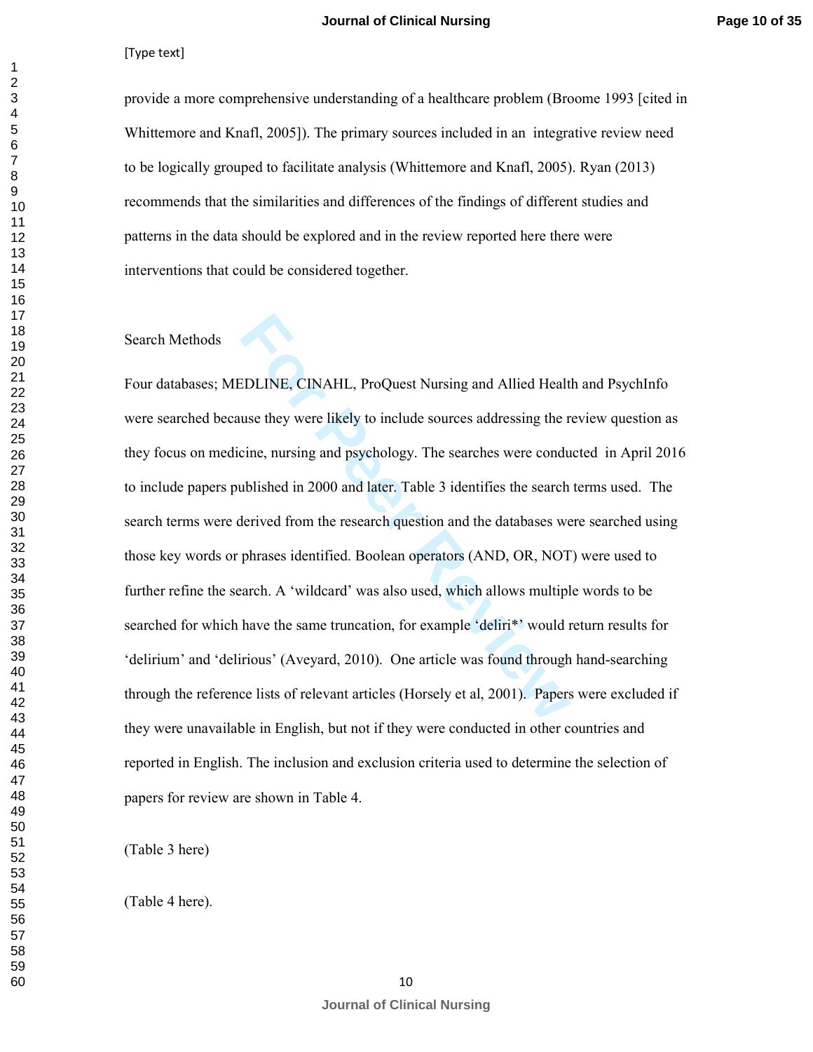provide a more comprehensive understanding of a healthcare problem (Broome 1993 [cited in Whittemore and Knafl, 2005]). The primary sources included in an integrative review need to be logically grouped to facilitate analysis (Whittemore and Knafl, 2005). Ryan (2013) recommends that the similarities and differences of the findings of different studies and patterns in the data should be explored and in the review reported here there were interventions that could be considered together.

#### Search Methods

**EDLINE, CINAHL, ProQuest Nursing and Allied Healt**<br>use they were likely to include sources addressing the r<br>cine, nursing and psychology. The searches were condu<br>ublished in 2000 and later. Table 3 identifies the search<br>l Four databases; MEDLINE, CINAHL, ProQuest Nursing and Allied Health and PsychInfo were searched because they were likely to include sources addressing the review question as they focus on medicine, nursing and psychology. The searches were conducted in April 2016 to include papers published in 2000 and later. Table 3 identifies the search terms used. The search terms were derived from the research question and the databases were searched using those key words or phrases identified. Boolean operators (AND, OR, NOT) were used to further refine the search. A 'wildcard' was also used, which allows multiple words to be searched for which have the same truncation, for example 'deliri\*' would return results for 'delirium' and 'delirious' (Aveyard, 2010). One article was found through hand-searching through the reference lists of relevant articles (Horsely et al, 2001). Papers were excluded if they were unavailable in English, but not if they were conducted in other countries and reported in English. The inclusion and exclusion criteria used to determine the selection of papers for review are shown in Table 4.

(Table 3 here)

(Table 4 here).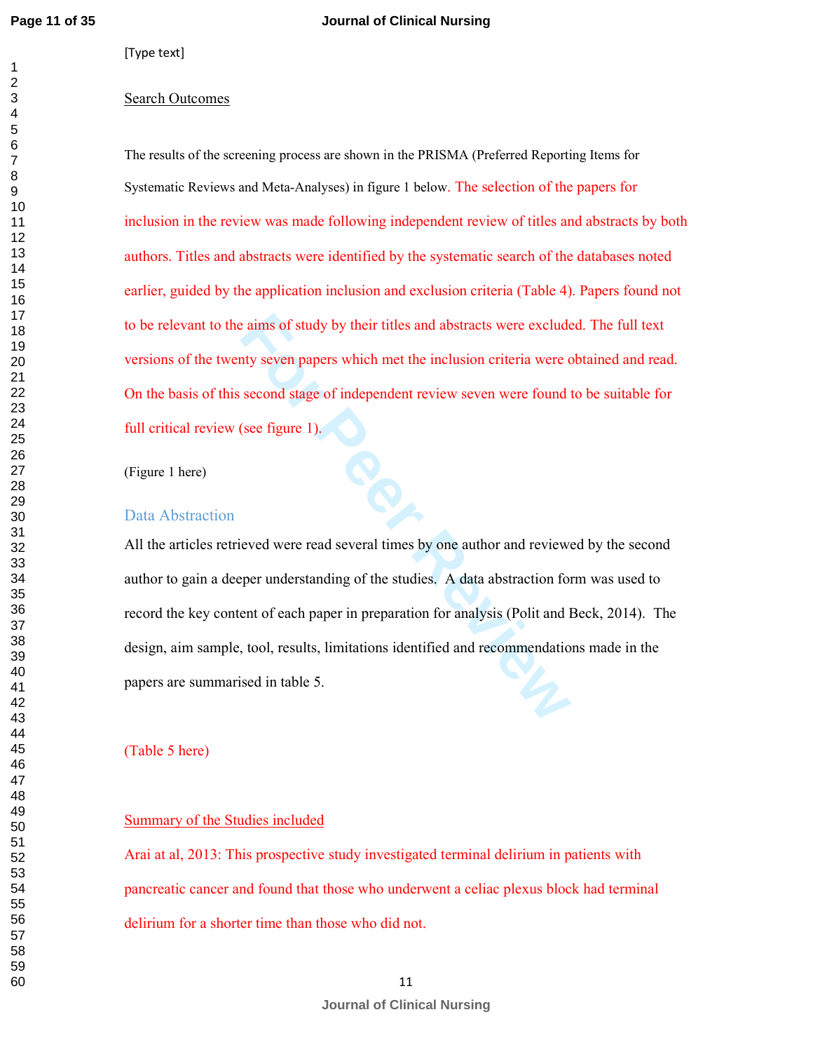#### Search Outcomes

The results of the screening process are shown in the PRISMA (Preferred Reporting Items for Systematic Reviews and Meta-Analyses) in figure 1 below. The selection of the papers for inclusion in the review was made following independent review of titles and abstracts by both authors. Titles and abstracts were identified by the systematic search of the databases noted earlier, guided by the application inclusion and exclusion criteria (Table 4). Papers found not to be relevant to the aims of study by their titles and abstracts were excluded. The full text versions of the twenty seven papers which met the inclusion criteria were obtained and read. On the basis of this second stage of independent review seven were found to be suitable for full critical review (see figure 1).

(Figure 1 here)

#### Data Abstraction

**Follow Example 12** and abstracts were exclude at the inclusion criteria were condity seven papers which met the inclusion criteria were condition several several terms of second stage of independent review seven were foun All the articles retrieved were read several times by one author and reviewed by the second author to gain a deeper understanding of the studies. A data abstraction form was used to record the key content of each paper in preparation for analysis (Polit and Beck, 2014). The design, aim sample, tool, results, limitations identified and recommendations made in the papers are summarised in table 5.

(Table 5 here)

#### Summary of the Studies included

Arai at al, 2013: This prospective study investigated terminal delirium in patients with pancreatic cancer and found that those who underwent a celiac plexus block had terminal delirium for a shorter time than those who did not.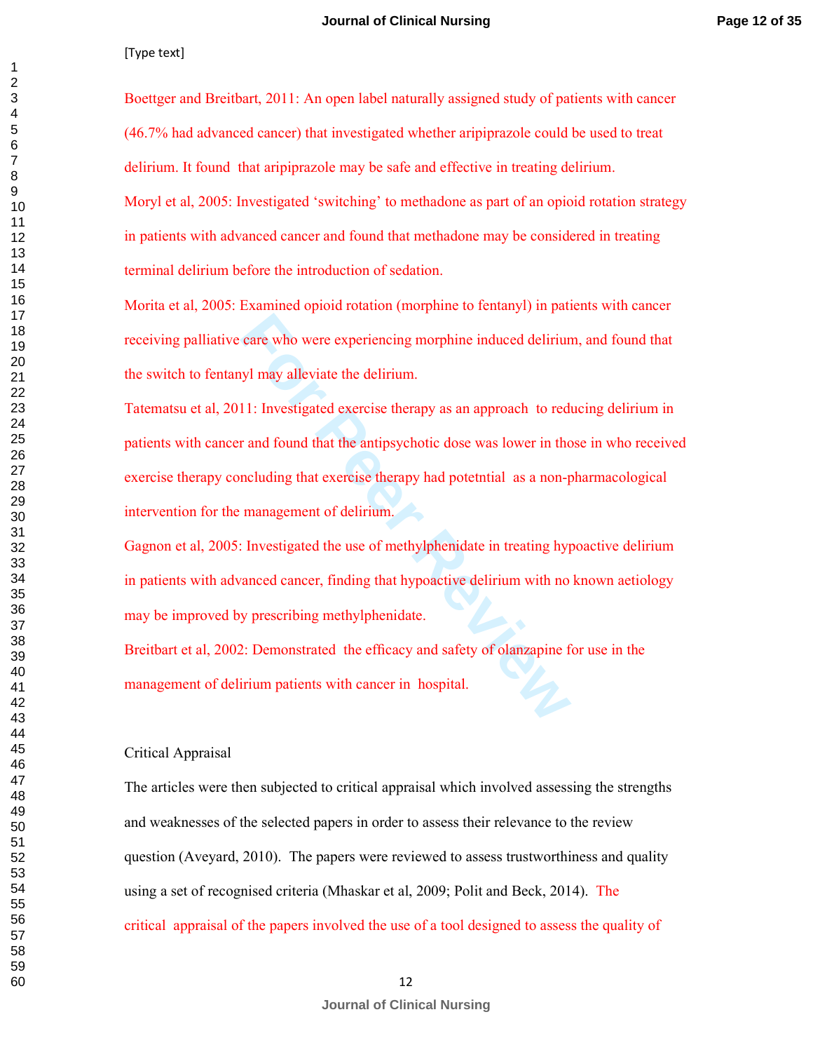Boettger and Breitbart, 2011: An open label naturally assigned study of patients with cancer (46.7% had advanced cancer) that investigated whether aripiprazole could be used to treat delirium. It found that aripiprazole may be safe and effective in treating delirium. Moryl et al, 2005: Investigated 'switching' to methadone as part of an opioid rotation strategy in patients with advanced cancer and found that methadone may be considered in treating terminal delirium before the introduction of sedation.

Morita et al, 2005: Examined opioid rotation (morphine to fentanyl) in patients with cancer receiving palliative care who were experiencing morphine induced delirium, and found that the switch to fentanyl may alleviate the delirium.

care who were experiencing morphine induced delirium<br>
II: Investigated exercise therapy as an approach to red<br> **For Transference in the antipsychotic dose was lower in the**<br> **For Transference in the antipsychotic dose was** Tatematsu et al, 2011: Investigated exercise therapy as an approach to reducing delirium in patients with cancer and found that the antipsychotic dose was lower in those in who received exercise therapy concluding that exercise therapy had potetntial as a non-pharmacological intervention for the management of delirium.

Gagnon et al, 2005: Investigated the use of methylphenidate in treating hypoactive delirium in patients with advanced cancer, finding that hypoactive delirium with no known aetiology may be improved by prescribing methylphenidate.

Breitbart et al, 2002: Demonstrated the efficacy and safety of olanzapine for use in the management of delirium patients with cancer in hospital.

#### Critical Appraisal

The articles were then subjected to critical appraisal which involved assessing the strengths and weaknesses of the selected papers in order to assess their relevance to the review question (Aveyard, 2010). The papers were reviewed to assess trustworthiness and quality using a set of recognised criteria (Mhaskar et al, 2009; Polit and Beck, 2014). The critical appraisal of the papers involved the use of a tool designed to assess the quality of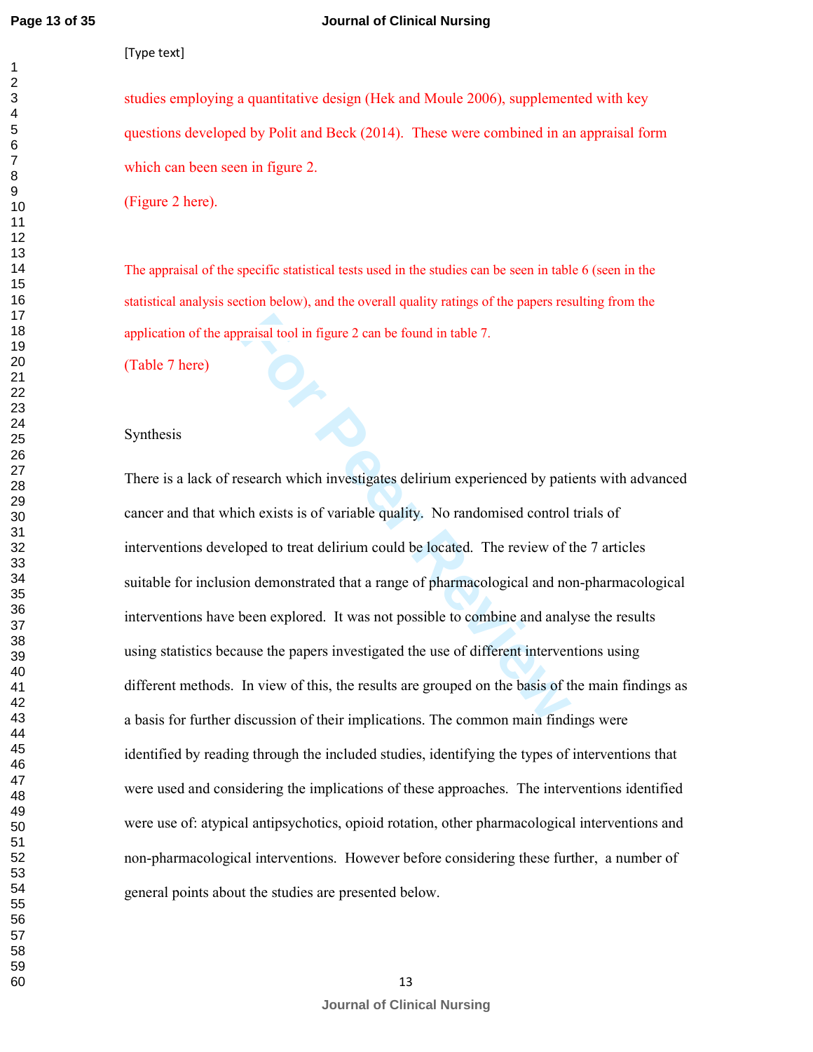#### **Journal of Clinical Nursing**

[Type text]

studies employing a quantitative design (Hek and Moule 2006), supplemented with key questions developed by Polit and Beck (2014). These were combined in an appraisal form which can been seen in figure 2.

(Figure 2 here).

The appraisal of the specific statistical tests used in the studies can be seen in table 6 (seen in the statistical analysis section below), and the overall quality ratings of the papers resulting from the application of the appraisal tool in figure 2 can be found in table 7.

(Table 7 here)

#### Synthesis

For Praisal tool in figure 2 can be found in table 7.<br>**For Praise Algeber 1.**<br>**For Praise Algeber 2.**<br>**For Praise Algeber 2.**<br>**For Praise Algeber 2.**<br>**For Praise Algeber 2.**<br>**For Praise Algeber 2.**<br>**For Praise Algeber 2.**<br> There is a lack of research which investigates delirium experienced by patients with advanced cancer and that which exists is of variable quality. No randomised control trials of interventions developed to treat delirium could be located. The review of the 7 articles suitable for inclusion demonstrated that a range of pharmacological and non-pharmacological interventions have been explored. It was not possible to combine and analyse the results using statistics because the papers investigated the use of different interventions using different methods. In view of this, the results are grouped on the basis of the main findings as a basis for further discussion of their implications. The common main findings were identified by reading through the included studies, identifying the types of interventions that were used and considering the implications of these approaches. The interventions identified were use of: atypical antipsychotics, opioid rotation, other pharmacological interventions and non-pharmacological interventions. However before considering these further, a number of general points about the studies are presented below.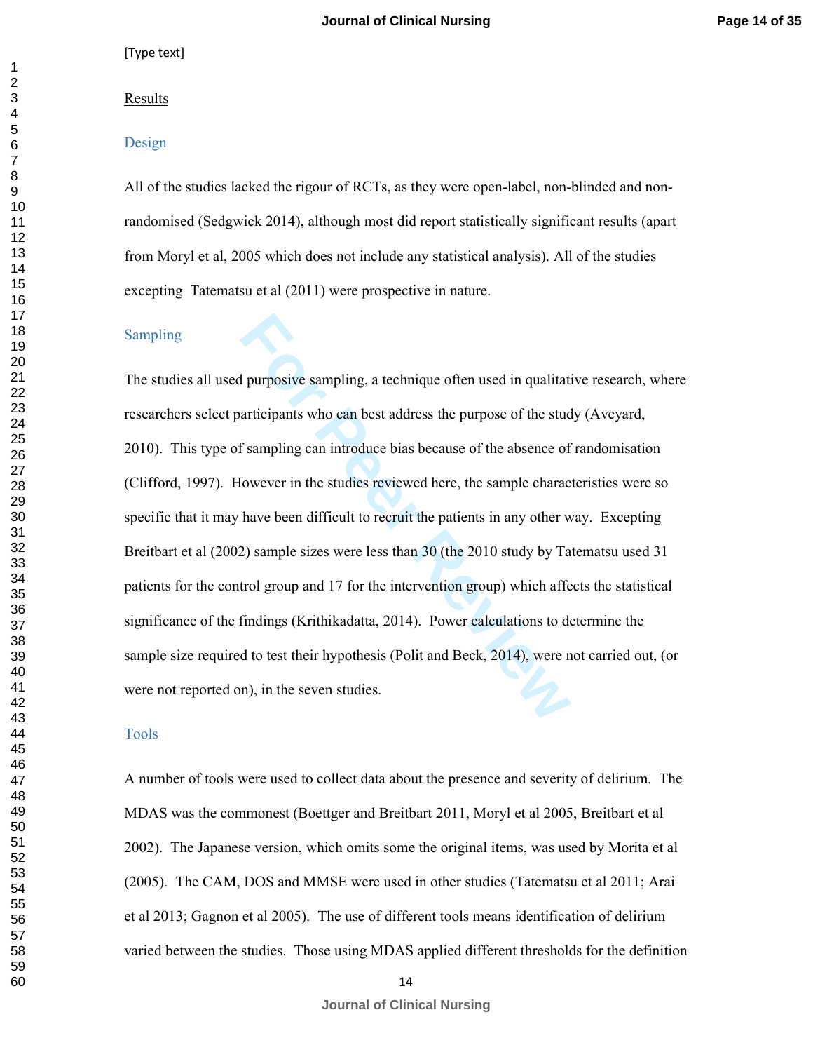#### Results

#### Design

All of the studies lacked the rigour of RCTs, as they were open-label, non-blinded and nonrandomised (Sedgwick 2014), although most did report statistically significant results (apart from Moryl et al, 2005 which does not include any statistical analysis). All of the studies excepting Tatematsu et al (2011) were prospective in nature.

#### Sampling

I purposive sampling, a technique often used in qualitatianticipants who can best address the purpose of the student f sampling can introduce bias because of the absence of fowever in the studies reviewed here, the sample The studies all used purposive sampling, a technique often used in qualitative research, where researchers select participants who can best address the purpose of the study (Aveyard, 2010). This type of sampling can introduce bias because of the absence of randomisation (Clifford, 1997). However in the studies reviewed here, the sample characteristics were so specific that it may have been difficult to recruit the patients in any other way. Excepting Breitbart et al (2002) sample sizes were less than 30 (the 2010 study by Tatematsu used 31 patients for the control group and 17 for the intervention group) which affects the statistical significance of the findings (Krithikadatta, 2014). Power calculations to determine the sample size required to test their hypothesis (Polit and Beck, 2014), were not carried out, (or were not reported on), in the seven studies.

#### Tools

A number of tools were used to collect data about the presence and severity of delirium. The MDAS was the commonest (Boettger and Breitbart 2011, Moryl et al 2005, Breitbart et al 2002). The Japanese version, which omits some the original items, was used by Morita et al (2005). The CAM, DOS and MMSE were used in other studies (Tatematsu et al 2011; Arai et al 2013; Gagnon et al 2005). The use of different tools means identification of delirium varied between the studies. Those using MDAS applied different thresholds for the definition

**Journal of Clinical Nursing**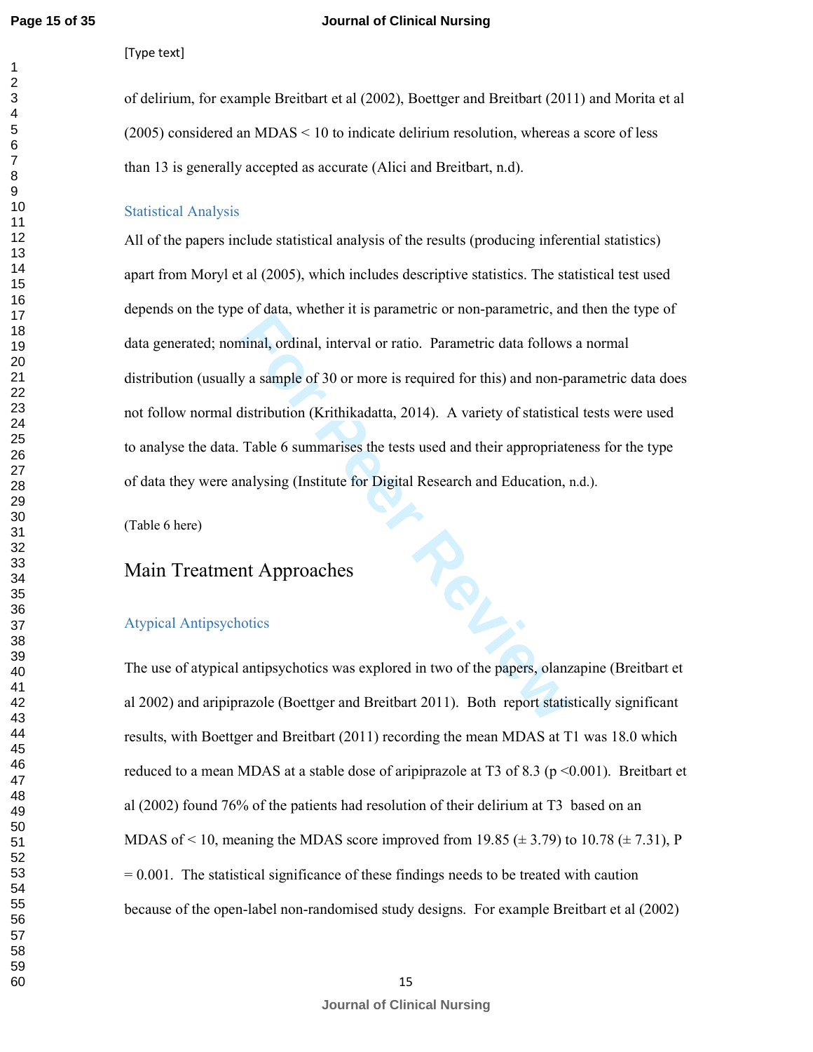#### **Journal of Clinical Nursing**

[Type text]

of delirium, for example Breitbart et al (2002), Boettger and Breitbart (2011) and Morita et al (2005) considered an MDAS < 10 to indicate delirium resolution, whereas a score of less than 13 is generally accepted as accurate (Alici and Breitbart, n.d).

#### Statistical Analysis

All of the papers include statistical analysis of the results (producing inferential statistics) apart from Moryl et al (2005), which includes descriptive statistics. The statistical test used depends on the type of data, whether it is parametric or non-parametric, and then the type of data generated; nominal, ordinal, interval or ratio. Parametric data follows a normal distribution (usually a sample of 30 or more is required for this) and non-parametric data does not follow normal distribution (Krithikadatta, 2014). A variety of statistical tests were used to analyse the data. Table 6 summarises the tests used and their appropriateness for the type of data they were analysing (Institute for Digital Research and Education, n.d.).

(Table 6 here)

#### Main Treatment Approaches

#### Atypical Antipsychotics

The use of atypical antipsychotics was explored in two of the papers, olanzapine (Breitbart et al 2002) and aripiprazole (Boettger and Breitbart 2011). Both report statistically significant results, with Boettger and Breitbart (2011) recording the mean MDAS at T1 was 18.0 which reduced to a mean MDAS at a stable dose of aripiprazole at T3 of 8.3 ( $p \le 0.001$ ). Breitbart et al (2002) found 76% of the patients had resolution of their delirium at T3 based on an MDAS of < 10, meaning the MDAS score improved from 19.85 ( $\pm$  3.79) to 10.78 ( $\pm$  7.31), P  $= 0.001$ . The statistical significance of these findings needs to be treated with caution because of the open-label non-randomised study designs. For example Breitbart et al (2002)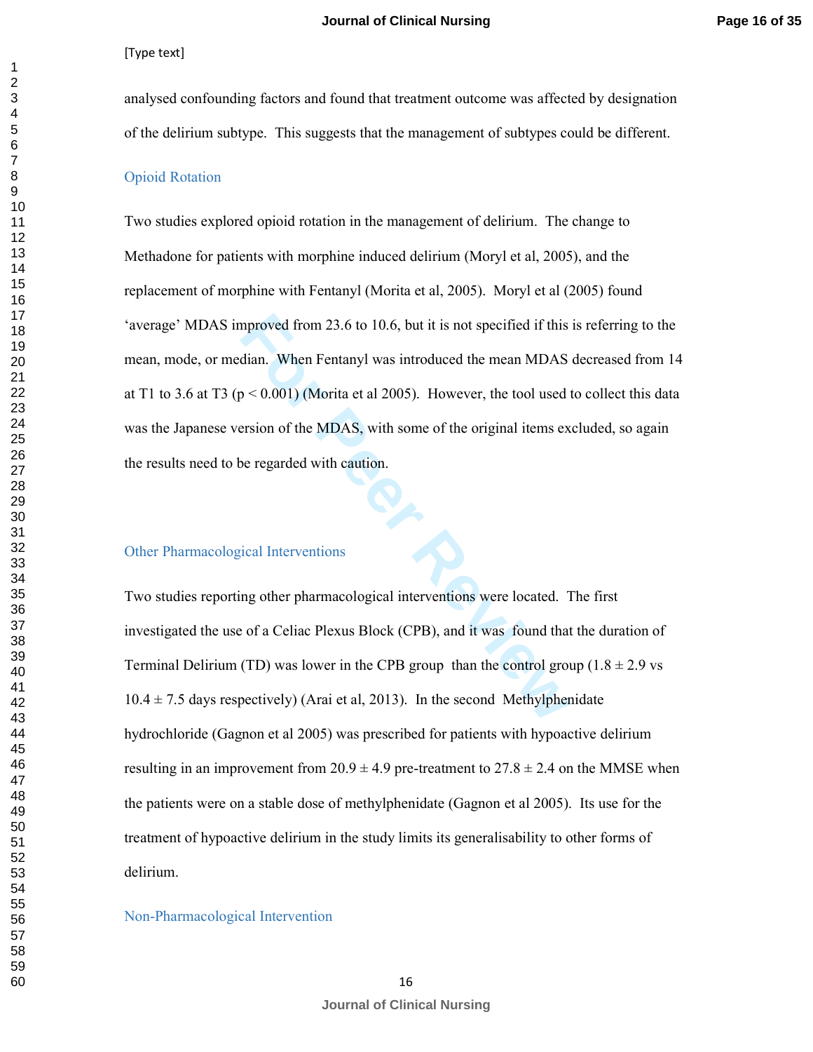analysed confounding factors and found that treatment outcome was affected by designation of the delirium subtype. This suggests that the management of subtypes could be different.

#### Opioid Rotation

mproved from 23.6 to 10.6, but it is not specified if this<br>dian. When Fentanyl was introduced the mean MDAS<br> $p < 0.001$ ) (Morita et al 2005). However, the tool used thereoris<br>for the MDAS, with some of the original items ex Two studies explored opioid rotation in the management of delirium. The change to Methadone for patients with morphine induced delirium (Moryl et al, 2005), and the replacement of morphine with Fentanyl (Morita et al, 2005). Moryl et al (2005) found 'average' MDAS improved from 23.6 to 10.6, but it is not specified if this is referring to the mean, mode, or median. When Fentanyl was introduced the mean MDAS decreased from 14 at T1 to 3.6 at T3 ( $p < 0.001$ ) (Morita et al 2005). However, the tool used to collect this data was the Japanese version of the MDAS, with some of the original items excluded, so again the results need to be regarded with caution.

#### Other Pharmacological Interventions

Two studies reporting other pharmacological interventions were located. The first investigated the use of a Celiac Plexus Block (CPB), and it was found that the duration of Terminal Delirium (TD) was lower in the CPB group than the control group  $(1.8 \pm 2.9 \text{ vs } 1.8 \pm 1.9 \text{ s})$  $10.4 \pm 7.5$  days respectively) (Arai et al, 2013). In the second Methylphenidate hydrochloride (Gagnon et al 2005) was prescribed for patients with hypoactive delirium resulting in an improvement from  $20.9 \pm 4.9$  pre-treatment to  $27.8 \pm 2.4$  on the MMSE when the patients were on a stable dose of methylphenidate (Gagnon et al 2005). Its use for the treatment of hypoactive delirium in the study limits its generalisability to other forms of delirium.

Non-Pharmacological Intervention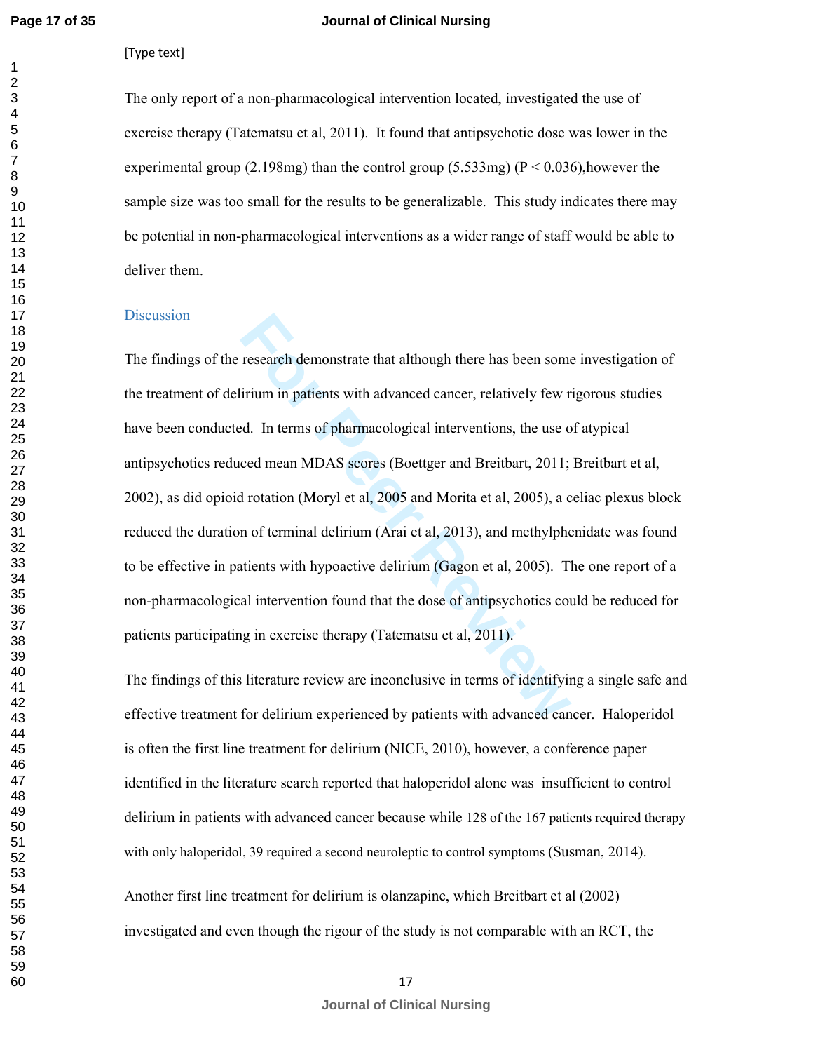$\mathbf{1}$ 

#### **Journal of Clinical Nursing**

[Type text]

The only report of a non-pharmacological intervention located, investigated the use of exercise therapy (Tatematsu et al, 2011). It found that antipsychotic dose was lower in the experimental group (2.198mg) than the control group (5.533mg) ( $P \le 0.036$ ), however the sample size was too small for the results to be generalizable. This study indicates there may be potential in non-pharmacological interventions as a wider range of staff would be able to deliver them.

#### **Discussion**

research demonstrate that although there has been some<br>irium in patients with advanced cancer, relatively few r<br>d. In terms of pharmacological interventions, the use o<br>ced mean MDAS scores (Boettger and Breitbart, 2011;<br>I The findings of the research demonstrate that although there has been some investigation of the treatment of delirium in patients with advanced cancer, relatively few rigorous studies have been conducted. In terms of pharmacological interventions, the use of atypical antipsychotics reduced mean MDAS scores (Boettger and Breitbart, 2011; Breitbart et al, 2002), as did opioid rotation (Moryl et al, 2005 and Morita et al, 2005), a celiac plexus block reduced the duration of terminal delirium (Arai et al, 2013), and methylphenidate was found to be effective in patients with hypoactive delirium (Gagon et al, 2005). The one report of a non-pharmacological intervention found that the dose of antipsychotics could be reduced for patients participating in exercise therapy (Tatematsu et al, 2011).

The findings of this literature review are inconclusive in terms of identifying a single safe and effective treatment for delirium experienced by patients with advanced cancer. Haloperidol is often the first line treatment for delirium (NICE, 2010), however, a conference paper identified in the literature search reported that haloperidol alone was insufficient to control delirium in patients with advanced cancer because while 128 of the 167 patients required therapy with only haloperidol, 39 required a second neuroleptic to control symptoms (Susman, 2014).

Another first line treatment for delirium is olanzapine, which Breitbart et al (2002) investigated and even though the rigour of the study is not comparable with an RCT, the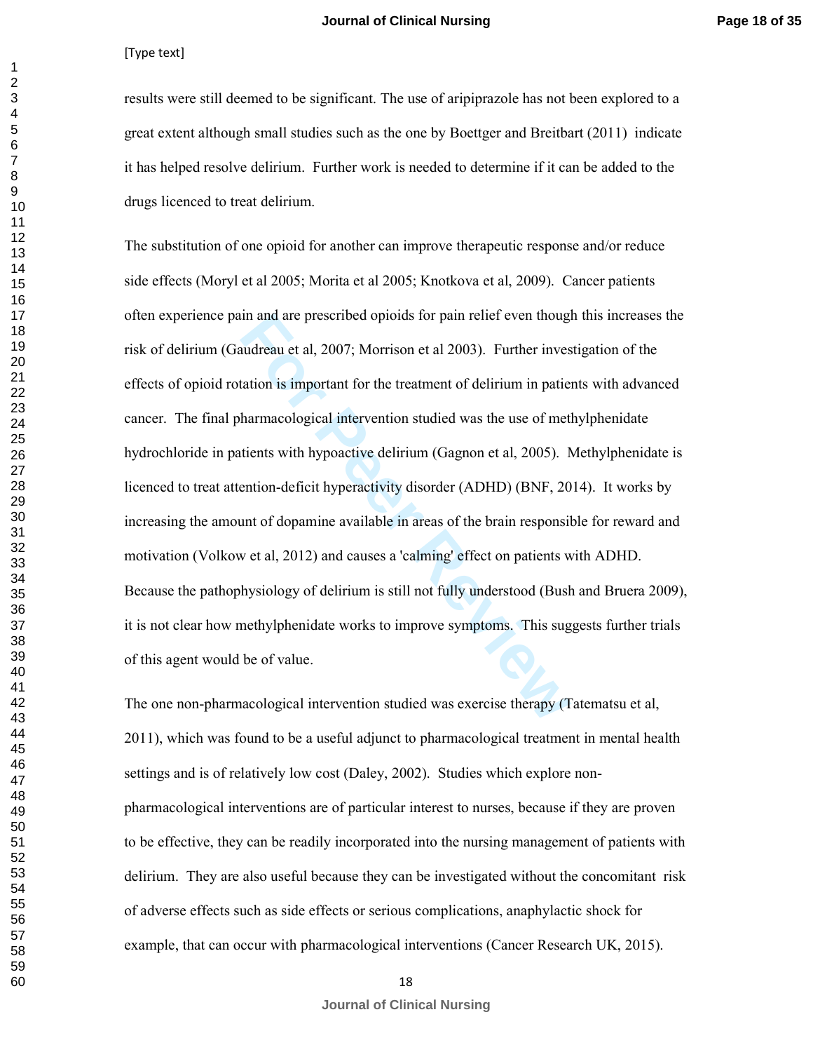results were still deemed to be significant. The use of aripiprazole has not been explored to a great extent although small studies such as the one by Boettger and Breitbart (2011) indicate it has helped resolve delirium. Further work is needed to determine if it can be added to the drugs licenced to treat delirium.

In and are prescribed opioids for pain relief even thought<br>
in and are prescribed opioids for pain relief even thought<br>
in the station is important for the treatment of delirium in paties<br>
harmacological intervention studi The substitution of one opioid for another can improve therapeutic response and/or reduce side effects (Moryl et al 2005; Morita et al 2005; Knotkova et al, 2009). Cancer patients often experience pain and are prescribed opioids for pain relief even though this increases the risk of delirium (Gaudreau et al, 2007; Morrison et al 2003). Further investigation of the effects of opioid rotation is important for the treatment of delirium in patients with advanced cancer. The final pharmacological intervention studied was the use of methylphenidate hydrochloride in patients with hypoactive delirium (Gagnon et al, 2005). Methylphenidate is licenced to treat attention-deficit hyperactivity disorder (ADHD) (BNF, 2014). It works by increasing the amount of dopamine available in areas of the brain responsible for reward and motivation (Volkow et al, 2012) and causes a 'calming' effect on patients with ADHD. Because the pathophysiology of delirium is still not fully understood (Bush and Bruera 2009), it is not clear how methylphenidate works to improve symptoms. This suggests further trials of this agent would be of value.

The one non-pharmacological intervention studied was exercise therapy (Tatematsu et al, 2011), which was found to be a useful adjunct to pharmacological treatment in mental health settings and is of relatively low cost (Daley, 2002). Studies which explore nonpharmacological interventions are of particular interest to nurses, because if they are proven to be effective, they can be readily incorporated into the nursing management of patients with delirium. They are also useful because they can be investigated without the concomitant risk of adverse effects such as side effects or serious complications, anaphylactic shock for example, that can occur with pharmacological interventions (Cancer Research UK, 2015).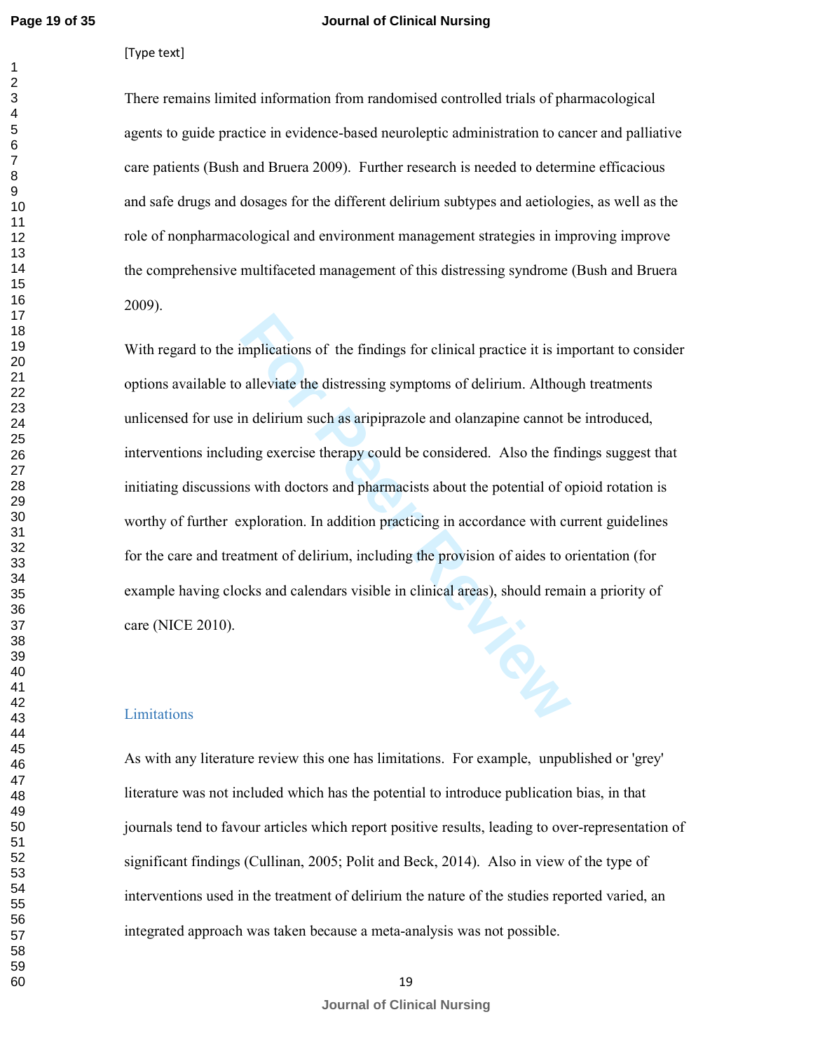#### **Journal of Clinical Nursing**

[Type text]

There remains limited information from randomised controlled trials of pharmacological agents to guide practice in evidence-based neuroleptic administration to cancer and palliative care patients (Bush and Bruera 2009). Further research is needed to determine efficacious and safe drugs and dosages for the different delirium subtypes and aetiologies, as well as the role of nonpharmacological and environment management strategies in improving improve the comprehensive multifaceted management of this distressing syndrome (Bush and Bruera 2009).

implications of the findings for clinical practice it is im<br>alleviate the distressing symptoms of delirium. Althou,<br>n delirium such as aripiprazole and olanzapine cannot b<br>ling exercise therapy could be considered. Also th With regard to the implications of the findings for clinical practice it is important to consider options available to alleviate the distressing symptoms of delirium. Although treatments unlicensed for use in delirium such as aripiprazole and olanzapine cannot be introduced, interventions including exercise therapy could be considered. Also the findings suggest that initiating discussions with doctors and pharmacists about the potential of opioid rotation is worthy of further exploration. In addition practicing in accordance with current guidelines for the care and treatment of delirium, including the provision of aides to orientation (for example having clocks and calendars visible in clinical areas), should remain a priority of care (NICE 2010).

#### Limitations

As with any literature review this one has limitations. For example, unpublished or 'grey' literature was not included which has the potential to introduce publication bias, in that journals tend to favour articles which report positive results, leading to over-representation of significant findings (Cullinan, 2005; Polit and Beck, 2014). Also in view of the type of interventions used in the treatment of delirium the nature of the studies reported varied, an integrated approach was taken because a meta-analysis was not possible.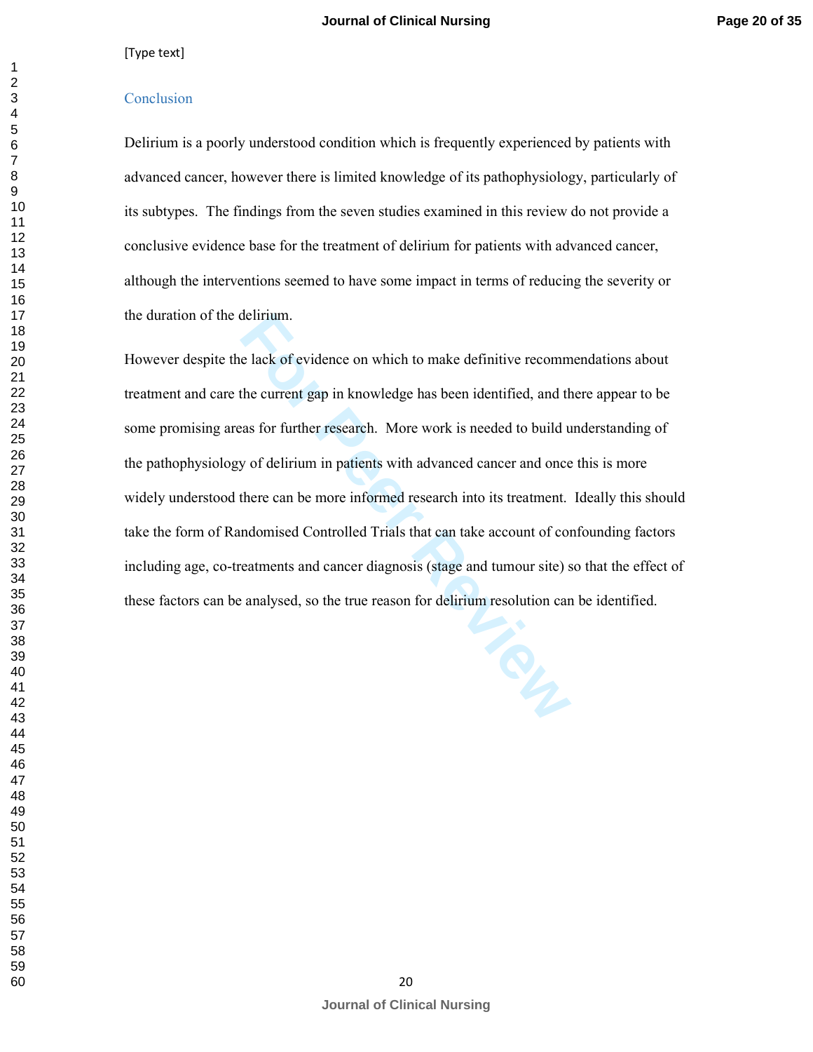#### **Conclusion**

Delirium is a poorly understood condition which is frequently experienced by patients with advanced cancer, however there is limited knowledge of its pathophysiology, particularly of its subtypes. The findings from the seven studies examined in this review do not provide a conclusive evidence base for the treatment of delirium for patients with advanced cancer, although the interventions seemed to have some impact in terms of reducing the severity or the duration of the delirium.

delirium.<br>
For each of evidence on which to make definitive recomm<br>
the current gap in knowledge has been identified, and the<br>
ras for further research. More work is needed to build u<br>
y of delirium in patients with advanc However despite the lack of evidence on which to make definitive recommendations about treatment and care the current gap in knowledge has been identified, and there appear to be some promising areas for further research. More work is needed to build understanding of the pathophysiology of delirium in patients with advanced cancer and once this is more widely understood there can be more informed research into its treatment. Ideally this should take the form of Randomised Controlled Trials that can take account of confounding factors including age, co-treatments and cancer diagnosis (stage and tumour site) so that the effect of these factors can be analysed, so the true reason for delirium resolution can be identified.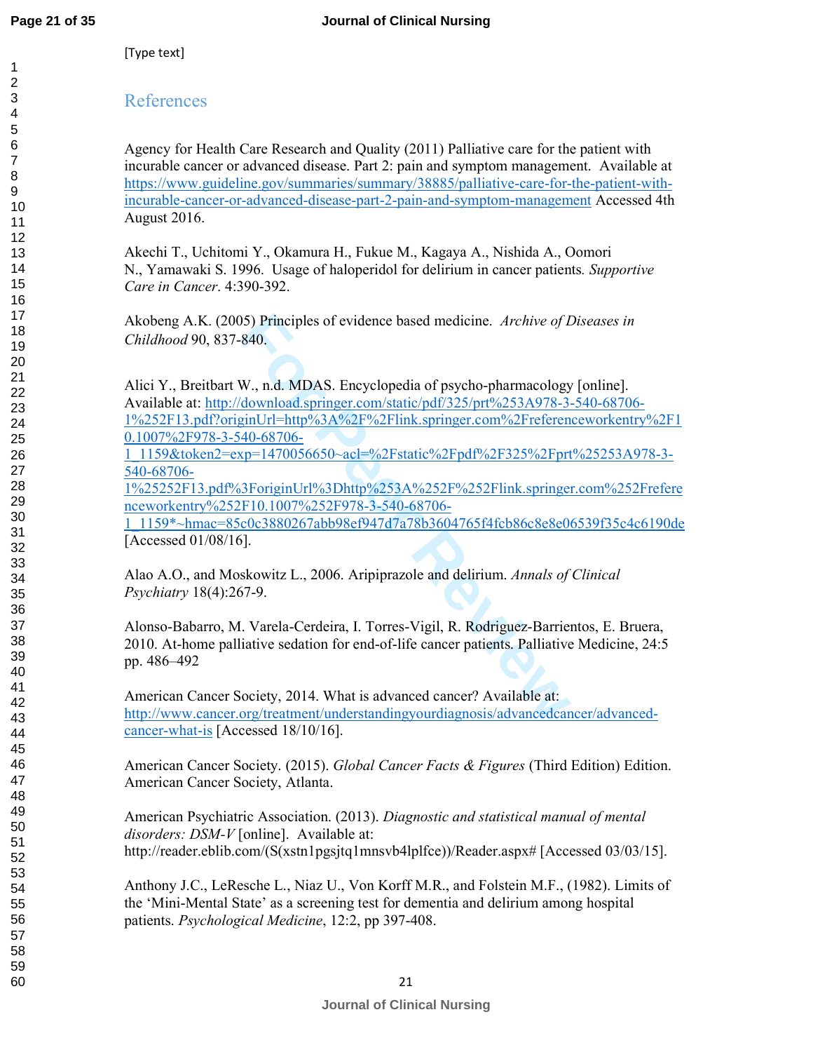#### References

Agency for Health Care Research and Quality (2011) Palliative care for the patient with incurable cancer or advanced disease. Part 2: pain and symptom management. Available at https://www.guideline.gov/summaries/summary/38885/palliative-care-for-the-patient-withincurable-cancer-or-advanced-disease-part-2-pain-and-symptom-management Accessed 4th August 2016.

Akechi T., Uchitomi Y., Okamura H., Fukue M., Kagaya A., Nishida A., Oomori N., Yamawaki S. 1996. Usage of haloperidol for delirium in cancer patients*. Supportive Care in Cancer*. 4:390-392.

Akobeng A.K. (2005) Principles of evidence based medicine. *Archive of Diseases in Childhood* 90, 837-840.

15) Principles of evidence based medicine. Archive of L<br>
840.<br>
840.<br>
W., n.d. MDAS. Encyclopedia of psycho-pharmacology<br>
download.springer.com/static/pdf/325/prt%253A978-3-<br>
<u>inUrl=http%3A%2F%2Flink.springer.com%2Freferen<br></u> Alici Y., Breitbart W., n.d. MDAS. Encyclopedia of psycho-pharmacology [online]. Available at: http://download.springer.com/static/pdf/325/prt%253A978-3-540-68706- 1%252F13.pdf?originUrl=http%3A%2F%2Flink.springer.com%2Freferenceworkentry%2F1 0.1007%2F978-3-540-68706-

1\_1159&token2=exp=1470056650~acl=%2Fstatic%2Fpdf%2F325%2Fprt%25253A978-3- 540-68706-

1%25252F13.pdf%3ForiginUrl%3Dhttp%253A%252F%252Flink.springer.com%252Frefere nceworkentry%252F10.1007%252F978-3-540-68706-

1\_1159\*~hmac=85c0c3880267abb98ef947d7a78b3604765f4fcb86c8e8e06539f35c4c6190de [Accessed 01/08/16].

Alao A.O., and Moskowitz L., 2006. Aripiprazole and delirium. *Annals of Clinical Psychiatry* 18(4):267-9.

Alonso-Babarro, M. Varela-Cerdeira, I. Torres-Vigil, R. Rodriguez-Barrientos, E. Bruera, 2010. At-home palliative sedation for end-of-life cancer patients. Palliative Medicine, 24:5 pp. 486–492

American Cancer Society, 2014. What is advanced cancer? Available at: http://www.cancer.org/treatment/understandingyourdiagnosis/advancedcancer/advancedcancer-what-is [Accessed 18/10/16].

American Cancer Society. (2015). *Global Cancer Facts & Figures* (Third Edition) Edition. American Cancer Society, Atlanta.

American Psychiatric Association. (2013). *Diagnostic and statistical manual of mental disorders: DSM-V* [online]. Available at: http://reader.eblib.com/(S(xstn1pgsjtq1mnsvb4lplfce))/Reader.aspx# [Accessed 03/03/15].

Anthony J.C., LeResche L., Niaz U., Von Korff M.R., and Folstein M.F., (1982). Limits of the 'Mini-Mental State' as a screening test for dementia and delirium among hospital patients. *Psychological Medicine*, 12:2, pp 397-408.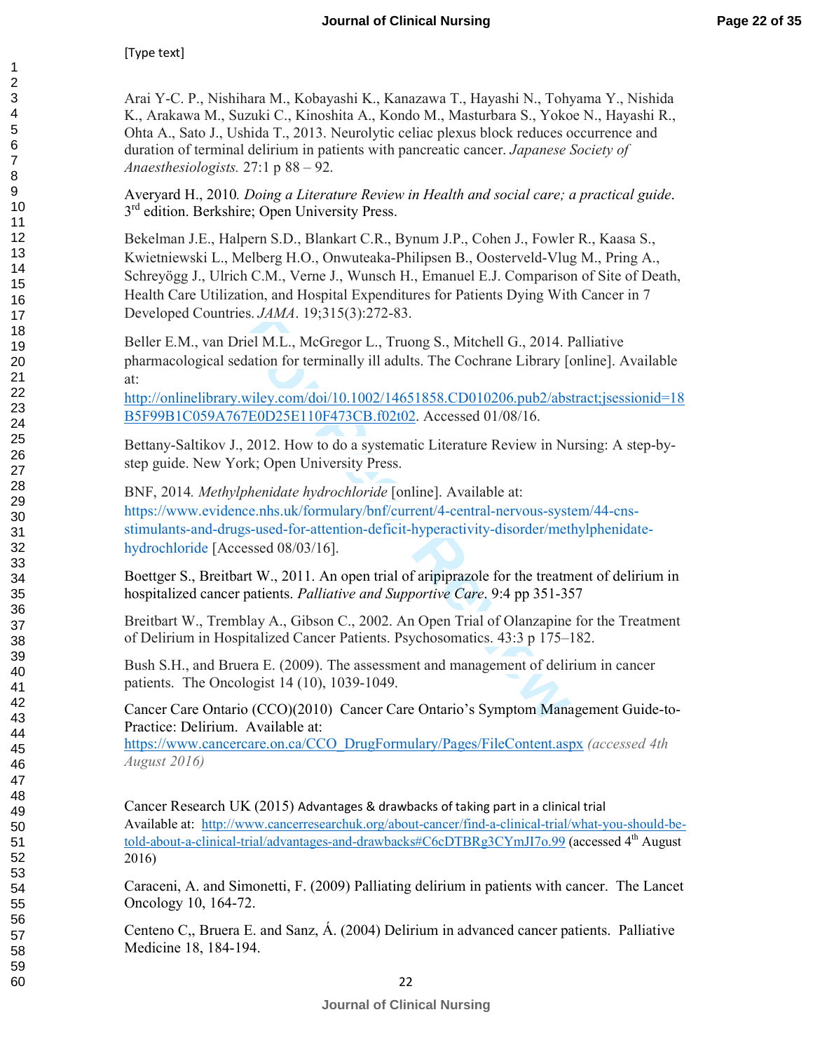Arai Y-C. P., Nishihara M., Kobayashi K., Kanazawa T., Hayashi N., Tohyama Y., Nishida K., Arakawa M., Suzuki C., Kinoshita A., Kondo M., Masturbara S., Yokoe N., Hayashi R., Ohta A., Sato J., Ushida T., 2013. Neurolytic celiac plexus block reduces occurrence and duration of terminal delirium in patients with pancreatic cancer. *Japanese Society of Anaesthesiologists.* 27:1 p 88 – 92.

Averyard H., 2010*. Doing a Literature Review in Health and social care; a practical guide*. 3 3<sup>rd</sup> edition. Berkshire; Open University Press.

Bekelman J.E., Halpern S.D., Blankart C.R., Bynum J.P., Cohen J., Fowler R., Kaasa S., Kwietniewski L., Melberg H.O., Onwuteaka-Philipsen B., Oosterveld-Vlug M., Pring A., Schreyögg J., Ulrich C.M., Verne J., Wunsch H., Emanuel E.J. Comparison of Site of Death, Health Care Utilization, and Hospital Expenditures for Patients Dying With Cancer in 7 Developed Countries. *JAMA*. 19;315(3):272-83.

Beller E.M., van Driel M.L., McGregor L., Truong S., Mitchell G., 2014. Palliative pharmacological sedation for terminally ill adults. The Cochrane Library [online]. Available at:

http://onlinelibrary.wiley.com/doi/10.1002/14651858.CD010206.pub2/abstract;jsessionid=18 B5F99B1C059A767E0D25E110F473CB.f02t02. Accessed 01/08/16.

Bettany-Saltikov J., 2012. How to do a systematic Literature Review in Nursing: A step-bystep guide. New York; Open University Press.

riel M.L., McGregor L., Truong S., Mitchell G., 2014. For First dation for terminally ill adults. The Cochrane Library [*o* wiley.com/doi/10.1002/14651858.CD010206.pub2/abs 7E0D25E110F473CB.f02t02. Accessed 01/08/16.<br>2012. BNF, 2014*. Methylphenidate hydrochloride* [online]. Available at: https://www.evidence.nhs.uk/formulary/bnf/current/4-central-nervous-system/44-cnsstimulants-and-drugs-used-for-attention-deficit-hyperactivity-disorder/methylphenidatehydrochloride [Accessed 08/03/16].

Boettger S., Breitbart W., 2011. An open trial of aripiprazole for the treatment of delirium in hospitalized cancer patients. *Palliative and Supportive Care*. 9:4 pp 351-357

Breitbart W., Tremblay A., Gibson C., 2002. An Open Trial of Olanzapine for the Treatment of Delirium in Hospitalized Cancer Patients. Psychosomatics. 43:3 p 175–182.

Bush S.H., and Bruera E. (2009). The assessment and management of delirium in cancer patients. The Oncologist 14 (10), 1039-1049.

Cancer Care Ontario (CCO)(2010) Cancer Care Ontario's Symptom Management Guide-to-Practice: Delirium. Available at:

https://www.cancercare.on.ca/CCO\_DrugFormulary/Pages/FileContent.aspx *(accessed 4th August 2016)*

Cancer Research UK (2015) Advantages & drawbacks of taking part in a clinical trial Available at: http://www.cancerresearchuk.org/about-cancer/find-a-clinical-trial/what-you-should-betold-about-a-clinical-trial/advantages-and-drawbacks#C6cDTBRg3CYmJI7o.99 (accessed 4<sup>th</sup> August 2016)

Caraceni, A. and Simonetti, F. (2009) Palliating delirium in patients with cancer. The Lancet Oncology 10, 164-72.

Centeno C,, Bruera E. and Sanz, Á. (2004) Delirium in advanced cancer patients. Palliative Medicine 18, 184-194.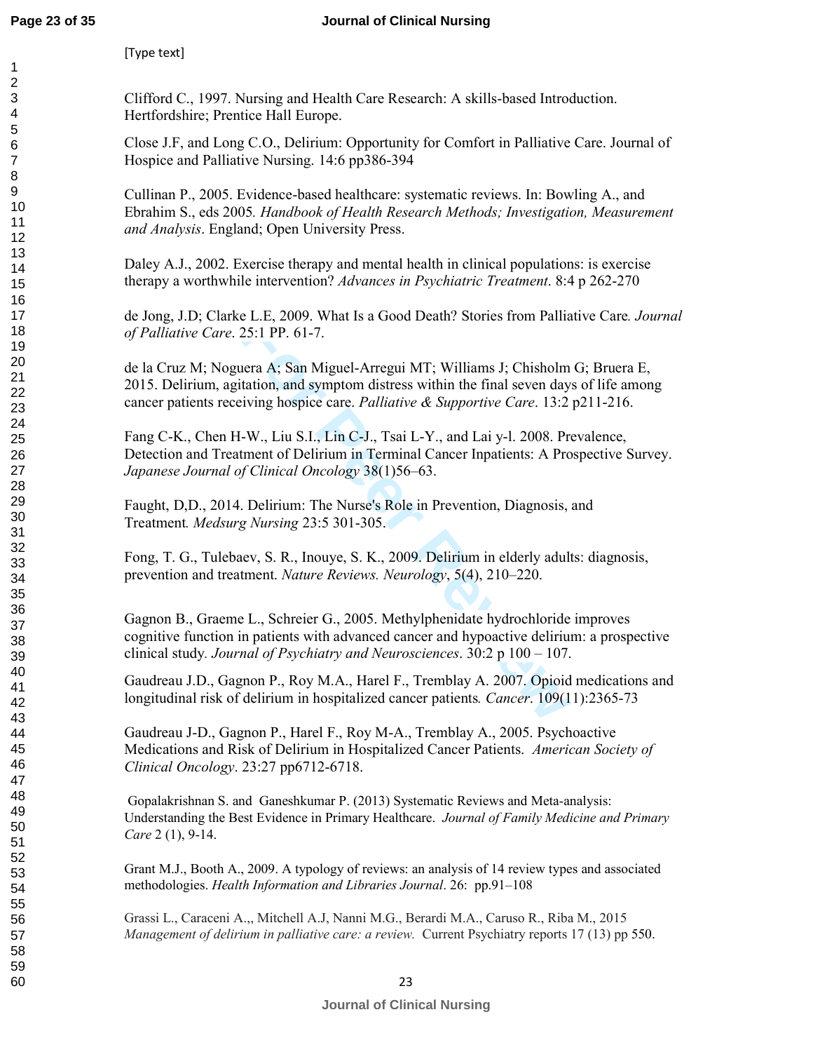[Type text]

Clifford C., 1997. Nursing and Health Care Research: A skills-based Introduction. Hertfordshire; Prentice Hall Europe.

Close J.F, and Long C.O., Delirium: Opportunity for Comfort in Palliative Care. Journal of Hospice and Palliative Nursing. 14:6 pp386-394

Cullinan P., 2005. Evidence-based healthcare: systematic reviews. In: Bowling A., and Ebrahim S., eds 2005*. Handbook of Health Research Methods; Investigation, Measurement and Analysis*. England; Open University Press.

Daley A.J., 2002. Exercise therapy and mental health in clinical populations: is exercise therapy a worthwhile intervention? *Advances in Psychiatric Treatment*. 8:4 p 262-270

de Jong, J.D; Clarke L.E, 2009. What Is a Good Death? Stories from Palliative Care*. Journal of Palliative Care*. 25:1 PP. 61-7.

de la Cruz M; Noguera A; San Miguel-Arregui MT; Williams J; Chisholm G; Bruera E, 2015. Delirium, agitation, and symptom distress within the final seven days of life among cancer patients receiving hospice care. *Palliative & Supportive Care*. 13:2 p211-216.

e L.E., 2009. What Is a Good Death? Stories from Pallia<br>25:1 PP. 61-7.<br>
hera A; San Miguel-Arregui MT; Williams J; Chisholm<br>
tation, and symptom distress within the final seven day<br>
iving hospice care. *Palliative & Suppor* Fang C-K., Chen H-W., Liu S.I., Lin C-J., Tsai L-Y., and Lai y-l. 2008. Prevalence, Detection and Treatment of Delirium in Terminal Cancer Inpatients: A Prospective Survey. *Japanese Journal of Clinical Oncology* 38(1)56–63.

Faught, D,D., 2014. Delirium: The Nurse's Role in Prevention, Diagnosis, and Treatment*. Medsurg Nursing* 23:5 301-305.

Fong, T. G., Tulebaev, S. R., Inouye, S. K., 2009. Delirium in elderly adults: diagnosis, prevention and treatment. *Nature Reviews. Neurology*, 5(4), 210–220.

Gagnon B., Graeme L., Schreier G., 2005. Methylphenidate hydrochloride improves cognitive function in patients with advanced cancer and hypoactive delirium: a prospective clinical study*. Journal of Psychiatry and Neurosciences*. 30:2 p 100 – 107.

Gaudreau J.D., Gagnon P., Roy M.A., Harel F., Tremblay A. 2007. Opioid medications and longitudinal risk of delirium in hospitalized cancer patients*. Cancer*. 109(11):2365-73

Gaudreau J-D., Gagnon P., Harel F., Roy M-A., Tremblay A., 2005. Psychoactive Medications and Risk of Delirium in Hospitalized Cancer Patients. *American Society of Clinical Oncology*. 23:27 pp6712-6718.

 Gopalakrishnan S. and Ganeshkumar P. (2013) Systematic Reviews and Meta-analysis: Understanding the Best Evidence in Primary Healthcare. *Journal of Family Medicine and Primary Care* 2 (1), 9-14.

Grant M.J., Booth A., 2009. A typology of reviews: an analysis of 14 review types and associated methodologies. *Health Information and Libraries Journal*. 26: pp.91–108

Grassi L., Caraceni A.,, Mitchell A.J, Nanni M.G., Berardi M.A., Caruso R., Riba M., 2015 *Management of delirium in palliative care: a review.* Current Psychiatry reports 17 (13) pp 550.

#### 23 **Journal of Clinical Nursing**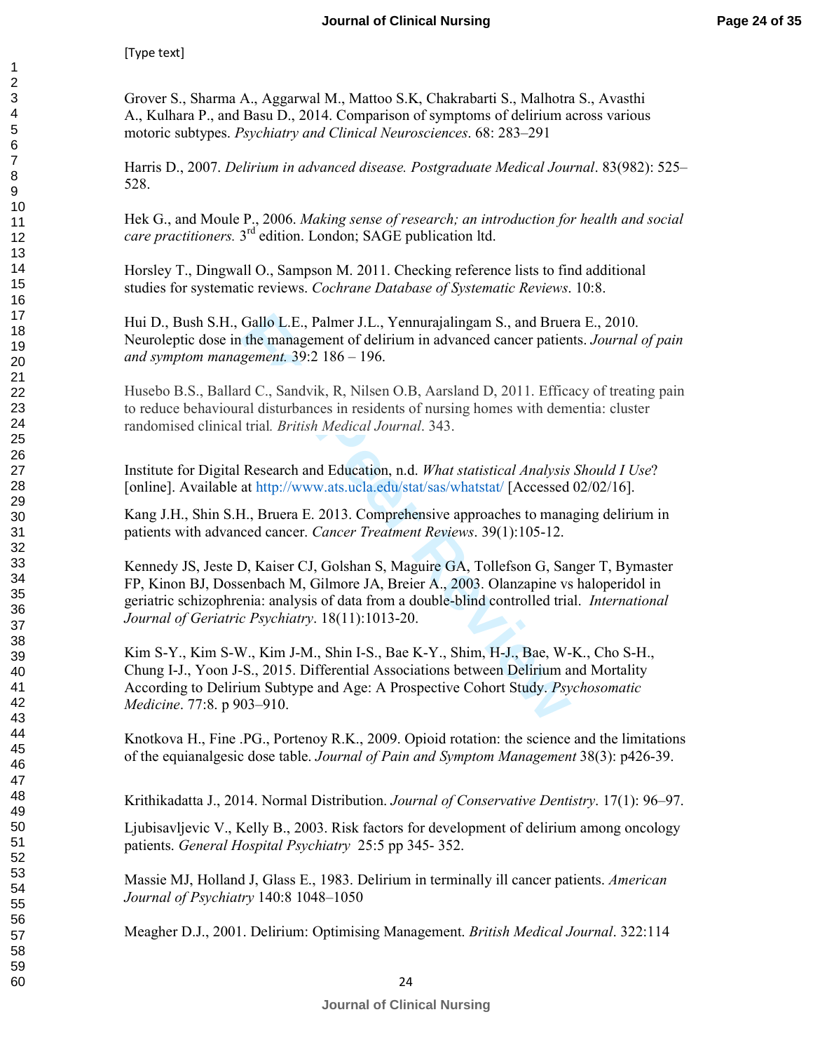Grover S., Sharma A., Aggarwal M., Mattoo S.K, Chakrabarti S., Malhotra S., Avasthi A., Kulhara P., and Basu D., 2014. Comparison of symptoms of delirium across various motoric subtypes. *Psychiatry and Clinical Neurosciences*. 68: 283–291

Harris D., 2007. *Delirium in advanced disease. Postgraduate Medical Journal*. 83(982): 525– 528.

Hek G., and Moule P., 2006. *Making sense of research; an introduction for health and social care practitioners.* 3rd edition. London; SAGE publication ltd.

Horsley T., Dingwall O., Sampson M. 2011. Checking reference lists to find additional studies for systematic reviews. *Cochrane Database of Systematic Reviews*. 10:8.

Hui D., Bush S.H., Gallo L.E., Palmer J.L., Yennurajalingam S., and Bruera E., 2010. Neuroleptic dose in the management of delirium in advanced cancer patients. *Journal of pain and symptom management.* 39:2 186 – 196.

Husebo B.S., Ballard C., Sandvik, R, Nilsen O.B, Aarsland D, 2011. Efficacy of treating pain to reduce behavioural disturbances in residents of nursing homes with dementia: cluster randomised clinical trial*. British Medical Journal*. 343.

Institute for Digital Research and Education, n.d. *What statistical Analysis Should I Use*? [online]. Available at http://www.ats.ucla.edu/stat/sas/whatstat/ [Accessed 02/02/16].

Kang J.H., Shin S.H., Bruera E. 2013. Comprehensive approaches to managing delirium in patients with advanced cancer. *Cancer Treatment Reviews*. 39(1):105-12.

Kennedy JS, Jeste D, Kaiser CJ, Golshan S, Maguire GA, Tollefson G, Sanger T, Bymaster FP, Kinon BJ, Dossenbach M, Gilmore JA, Breier A., 2003. Olanzapine vs haloperidol in geriatric schizophrenia: analysis of data from a double-blind controlled trial. *International Journal of Geriatric Psychiatry*. 18(11):1013-20.

Gallo L.E., Palmer J.L., Yennurajalingam S., and Bruer<br>the management of delirium in advanced cancer patien<br>*gement.* 39:2 186 – 196.<br>rd C., Sandvik, R, Nilsen O.B, Aarsland D, 2011. Effica<br>al disturbances in residents of Kim S-Y., Kim S-W., Kim J-M., Shin I-S., Bae K-Y., Shim, H-J., Bae, W-K., Cho S-H., Chung I-J., Yoon J-S., 2015. Differential Associations between Delirium and Mortality According to Delirium Subtype and Age: A Prospective Cohort Study. *Psychosomatic Medicine*. 77:8. p 903–910.

Knotkova H., Fine .PG., Portenoy R.K., 2009. Opioid rotation: the science and the limitations of the equianalgesic dose table. *Journal of Pain and Symptom Management* 38(3): p426-39.

Krithikadatta J., 2014. Normal Distribution. *Journal of Conservative Dentistry*. 17(1): 96–97.

Ljubisavljevic V., Kelly B., 2003. Risk factors for development of delirium among oncology patients. *General Hospital Psychiatry* 25:5 pp 345- 352.

Massie MJ, Holland J, Glass E., 1983. Delirium in terminally ill cancer patients. *American Journal of Psychiatry* 140:8 1048–1050

Meagher D.J., 2001. Delirium: Optimising Management. *British Medical Journal*. 322:114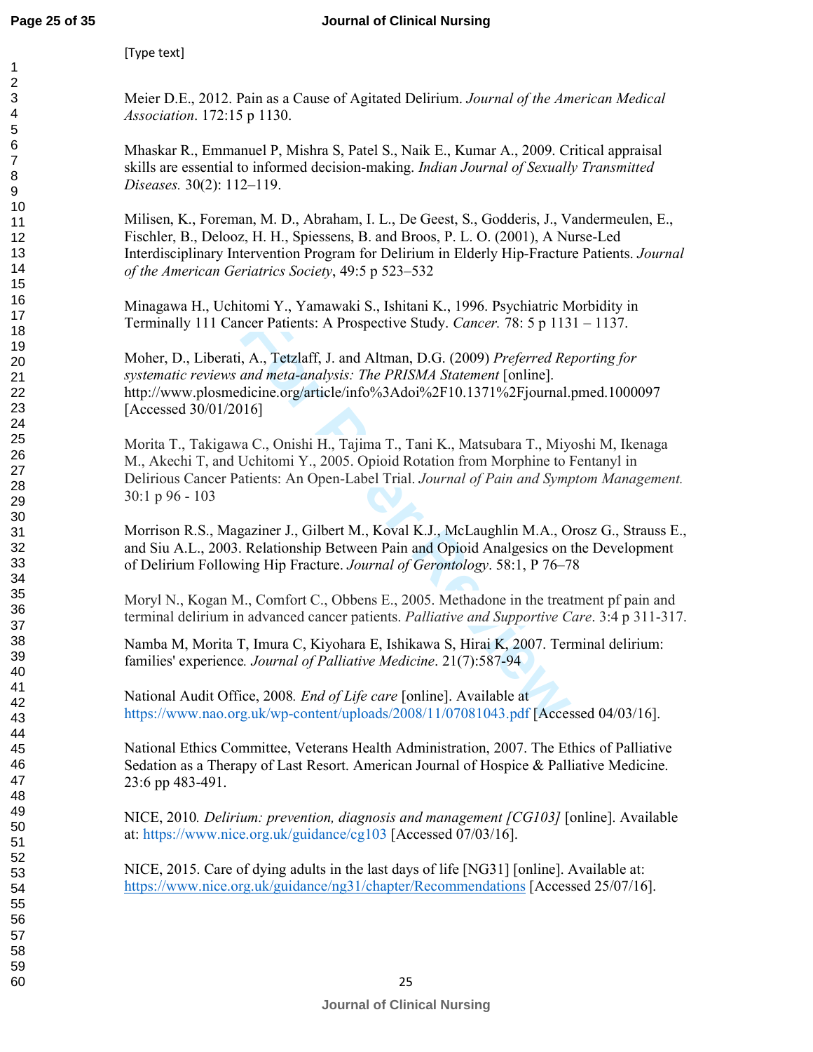#### **Journal of Clinical Nursing**

[Type text]

Meier D.E., 2012. Pain as a Cause of Agitated Delirium. *Journal of the American Medical Association*. 172:15 p 1130.

Mhaskar R., Emmanuel P, Mishra S, Patel S., Naik E., Kumar A., 2009. Critical appraisal skills are essential to informed decision-making. *Indian Journal of Sexually Transmitted Diseases.* 30(2): 112–119.

Milisen, K., Foreman, M. D., Abraham, I. L., De Geest, S., Godderis, J., Vandermeulen, E., Fischler, B., Delooz, H. H., Spiessens, B. and Broos, P. L. O. (2001), A Nurse-Led Interdisciplinary Intervention Program for Delirium in Elderly Hip-Fracture Patients. *Journal of the American Geriatrics Society*, 49:5 p 523–532

Minagawa H., Uchitomi Y., Yamawaki S., Ishitani K., 1996. Psychiatric Morbidity in Terminally 111 Cancer Patients: A Prospective Study. *Cancer.* 78: 5 p 1131 – 1137.

ncer Patients: A Prospective Study. *Cancer.* 78: 5 p 113<br>
, A., Tetzlaff, J. and Altman, D.G. (2009) *Preferred Re, and meta-analysis: The PRISMA Statement* [online].<br>
dicine.org/article/info%3Adoi%2F10.1371%2Fjournal.<br>
1 Moher, D., Liberati, A., Tetzlaff, J. and Altman, D.G. (2009) *Preferred Reporting for systematic reviews and meta-analysis: The PRISMA Statement* [online]. http://www.plosmedicine.org/article/info%3Adoi%2F10.1371%2Fjournal.pmed.1000097 [Accessed 30/01/2016]

Morita T., Takigawa C., Onishi H., Tajima T., Tani K., Matsubara T., Miyoshi M, Ikenaga M., Akechi T, and Uchitomi Y., 2005. Opioid Rotation from Morphine to Fentanyl in Delirious Cancer Patients: An Open-Label Trial. *Journal of Pain and Symptom Management.*  30:1 p 96 - 103

Morrison R.S., Magaziner J., Gilbert M., Koval K.J., McLaughlin M.A., Orosz G., Strauss E., and Siu A.L., 2003. Relationship Between Pain and Opioid Analgesics on the Development of Delirium Following Hip Fracture. *Journal of Gerontology*. 58:1, P 76–78

Moryl N., Kogan M., Comfort C., Obbens E., 2005. Methadone in the treatment pf pain and terminal delirium in advanced cancer patients. *Palliative and Supportive Care*. 3:4 p 311-317.

Namba M, Morita T, Imura C, Kiyohara E, Ishikawa S, Hirai K, 2007. Terminal delirium: families' experience*. Journal of Palliative Medicine*. 21(7):587-94

National Audit Office, 2008*. End of Life care* [online]. Available at https://www.nao.org.uk/wp-content/uploads/2008/11/07081043.pdf [Accessed 04/03/16].

National Ethics Committee, Veterans Health Administration, 2007. The Ethics of Palliative Sedation as a Therapy of Last Resort. American Journal of Hospice & Palliative Medicine. 23:6 pp 483-491.

NICE, 2010*. Delirium: prevention, diagnosis and management [CG103]* [online]. Available at: https://www.nice.org.uk/guidance/cg103 [Accessed 07/03/16].

NICE, 2015. Care of dying adults in the last days of life [NG31] [online]. Available at: https://www.nice.org.uk/guidance/ng31/chapter/Recommendations [Accessed 25/07/16].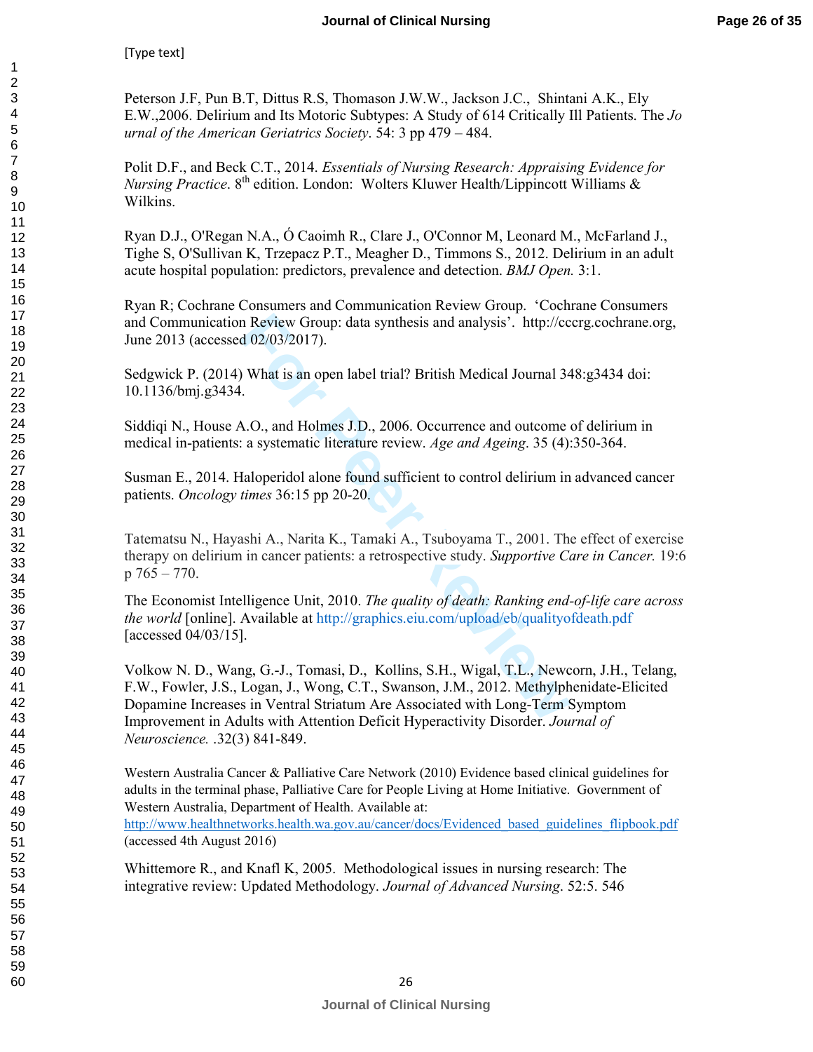Peterson J.F, Pun B.T, Dittus R.S, Thomason J.W.W., Jackson J.C., Shintani A.K., Ely E.W.,2006. Delirium and Its Motoric Subtypes: A Study of 614 Critically Ill Patients. The *Jo urnal of the American Geriatrics Society*. 54: 3 pp 479 – 484.

Polit D.F., and Beck C.T., 2014. *Essentials of Nursing Research: Appraising Evidence for Nursing Practice*.  $8^{th}$  edition. London: Wolters Kluwer Health/Lippincott Williams  $\&$ Wilkins.

Ryan D.J., O'Regan N.A., Ó Caoimh R., Clare J., O'Connor M, Leonard M., McFarland J., Tighe S, O'Sullivan K, Trzepacz P.T., Meagher D., Timmons S., 2012. Delirium in an adult acute hospital population: predictors, prevalence and detection. *BMJ Open.* 3:1.

Ryan R; Cochrane Consumers and Communication Review Group. 'Cochrane Consumers and Communication Review Group: data synthesis and analysis'. http://cccrg.cochrane.org, June 2013 (accessed 02/03/2017).

Sedgwick P. (2014) What is an open label trial? British Medical Journal 348:g3434 doi: 10.1136/bmj.g3434.

Siddiqi N., House A.O., and Holmes J.D., 2006. Occurrence and outcome of delirium in medical in-patients: a systematic literature review. *Age and Ageing*. 35 (4):350-364.

Susman E., 2014. Haloperidol alone found sufficient to control delirium in advanced cancer patients. *Oncology times* 36:15 pp 20-20.

Tatematsu N., Hayashi A., Narita K., Tamaki A., Tsuboyama T., 2001. The effect of exercise therapy on delirium in cancer patients: a retrospective study. *Supportive Care in Cancer.* 19:6 p 765 – 770.

The Economist Intelligence Unit, 2010. *The quality of death: Ranking end-of-life care across the world* [online]. Available at http://graphics.eiu.com/upload/eb/qualityofdeath.pd f [accessed 04/03/15].

In Review Group: data synthesis and analysis'.<sup>5</sup> http://cc d 02/03/2017).<br> **For Peer Review Alter Alter State II** British Medical Journal 34<br> **For Peer Review** Age and Ageing. 35 (4):<br> **For Peer Reviewant Alter State III** Volkow N. D., Wang, G.-J., Tomasi, D., Kollins, S.H., Wigal, T.L., Newcorn, J.H., Telang, F.W., Fowler, J.S., Logan, J., Wong, C.T., Swanson, J.M., 2012. Methylphenidate-Elicited Dopamine Increases in Ventral Striatum Are Associated with Long-Term Symptom Improvement in Adults with Attention Deficit Hyperactivity Disorder. *Journal of Neuroscience.* .32(3) 841-849.

Western Australia Cancer & Palliative Care Network (2010) Evidence based clinical guidelines for adults in the terminal phase, Palliative Care for People Living at Home Initiative. Government of Western Australia, Department of Health. Available at:

http://www.healthnetworks.health.wa.gov.au/cancer/docs/Evidenced\_based\_guidelines\_flipbook.pdf (accessed 4th August 2016)

Whittemore R., and Knafl K, 2005. Methodological issues in nursing research: The integrative review: Updated Methodology. *Journal of Advanced Nursing*. 52:5. 546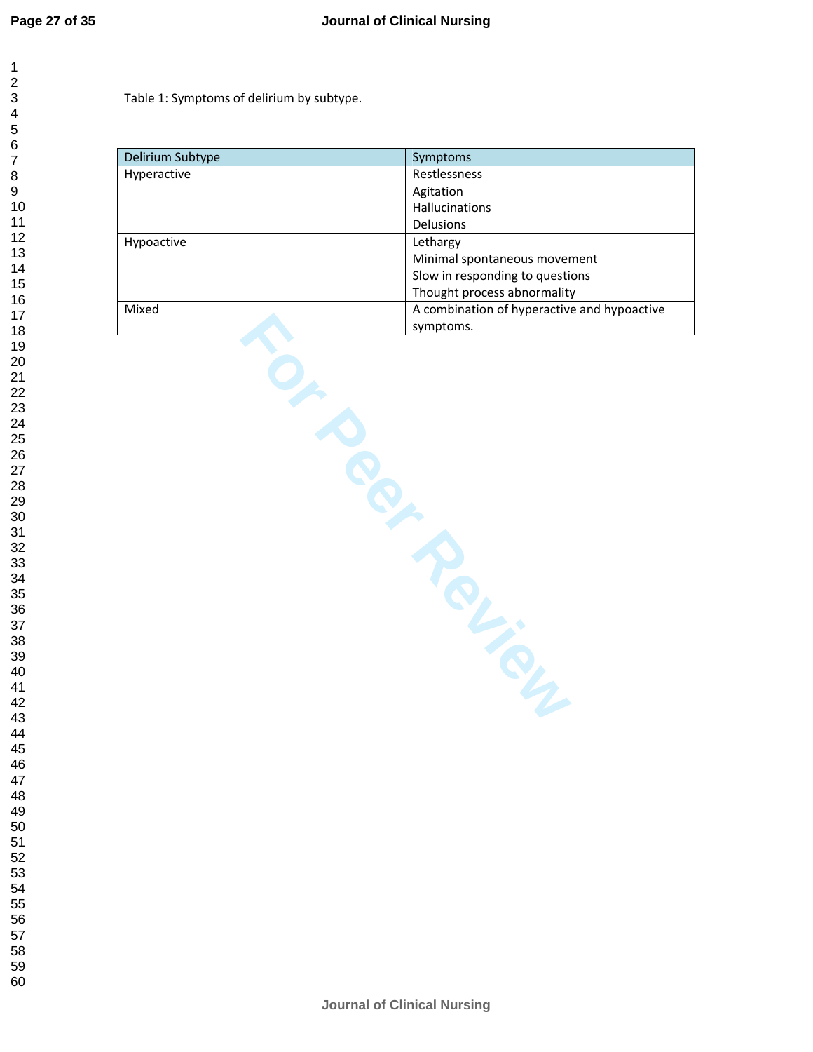$\mathbf{1}$ 

Table 1: Symptoms of delirium by subtype.

| Delirium Subtype | Symptoms                                    |  |  |  |  |
|------------------|---------------------------------------------|--|--|--|--|
| Hyperactive      | Restlessness                                |  |  |  |  |
|                  | Agitation                                   |  |  |  |  |
|                  | Hallucinations                              |  |  |  |  |
|                  | Delusions                                   |  |  |  |  |
| Hypoactive       | Lethargy                                    |  |  |  |  |
|                  | Minimal spontaneous movement                |  |  |  |  |
|                  | Slow in responding to questions             |  |  |  |  |
|                  | Thought process abnormality                 |  |  |  |  |
| Mixed            | A combination of hyperactive and hypoactive |  |  |  |  |
|                  | symptoms.                                   |  |  |  |  |
|                  | Rely is                                     |  |  |  |  |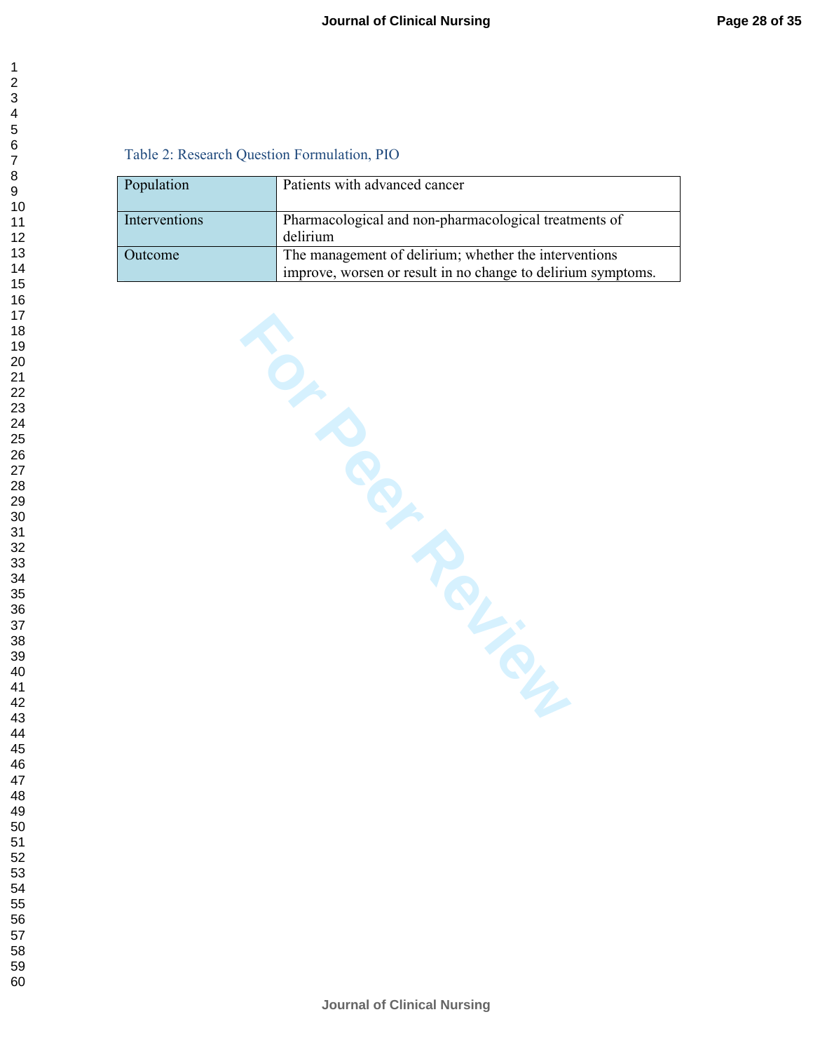#### Table 2: Research Question Formulation, PIO

| Population    | Patients with advanced cancer                                                                                         |
|---------------|-----------------------------------------------------------------------------------------------------------------------|
| Interventions | Pharmacological and non-pharmacological treatments of<br>delirium                                                     |
| Outcome       | The management of delirium; whether the interventions<br>improve, worsen or result in no change to delirium symptoms. |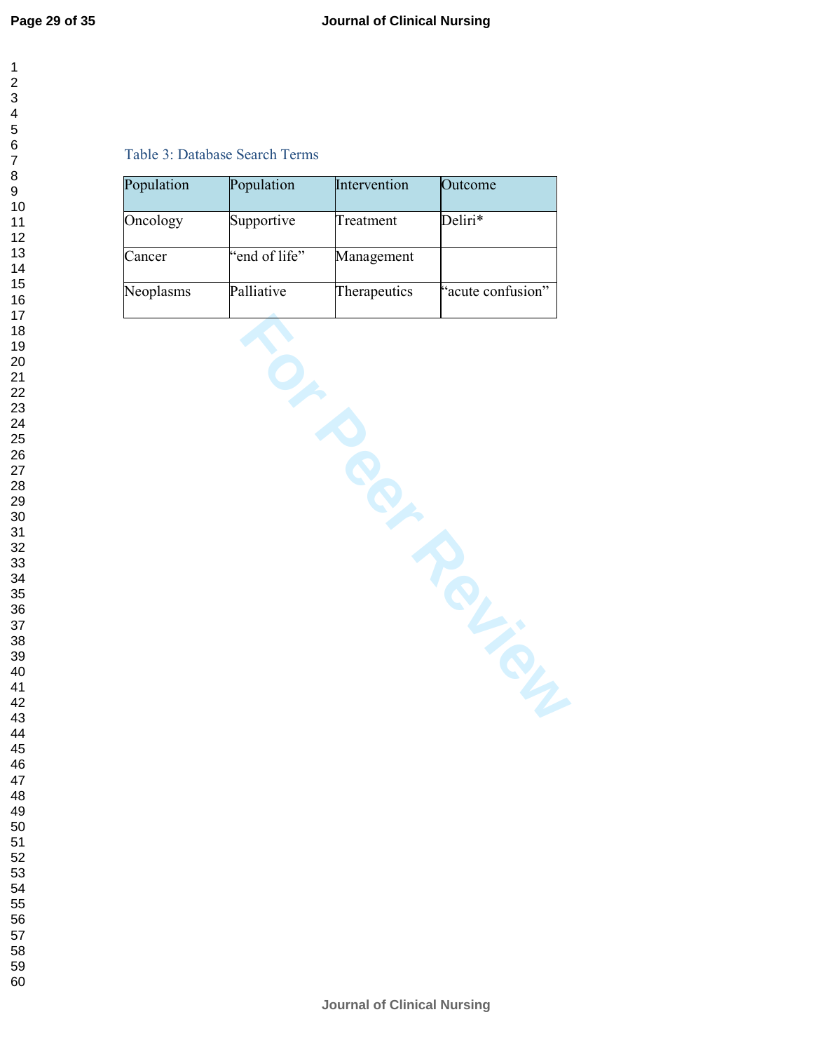$\mathbf{1}$  $\overline{2}$  $\overline{\mathbf{4}}$  $\overline{7}$ 

#### Table 3: Database Search Terms

| Population | Population    | Intervention | Outcome           |
|------------|---------------|--------------|-------------------|
| Oncology   | Supportive    | Treatment    | Deliri*           |
| Cancer     | "end of life" | Management   |                   |
| Neoplasms  | Palliative    | Therapeutics | "acute confusion" |
|            |               |              |                   |
|            |               |              |                   |
|            |               |              |                   |
|            |               |              |                   |
|            |               |              |                   |
|            |               |              |                   |
|            |               |              |                   |
|            |               |              |                   |
|            |               |              |                   |
|            |               |              |                   |
|            |               |              |                   |
|            |               |              |                   |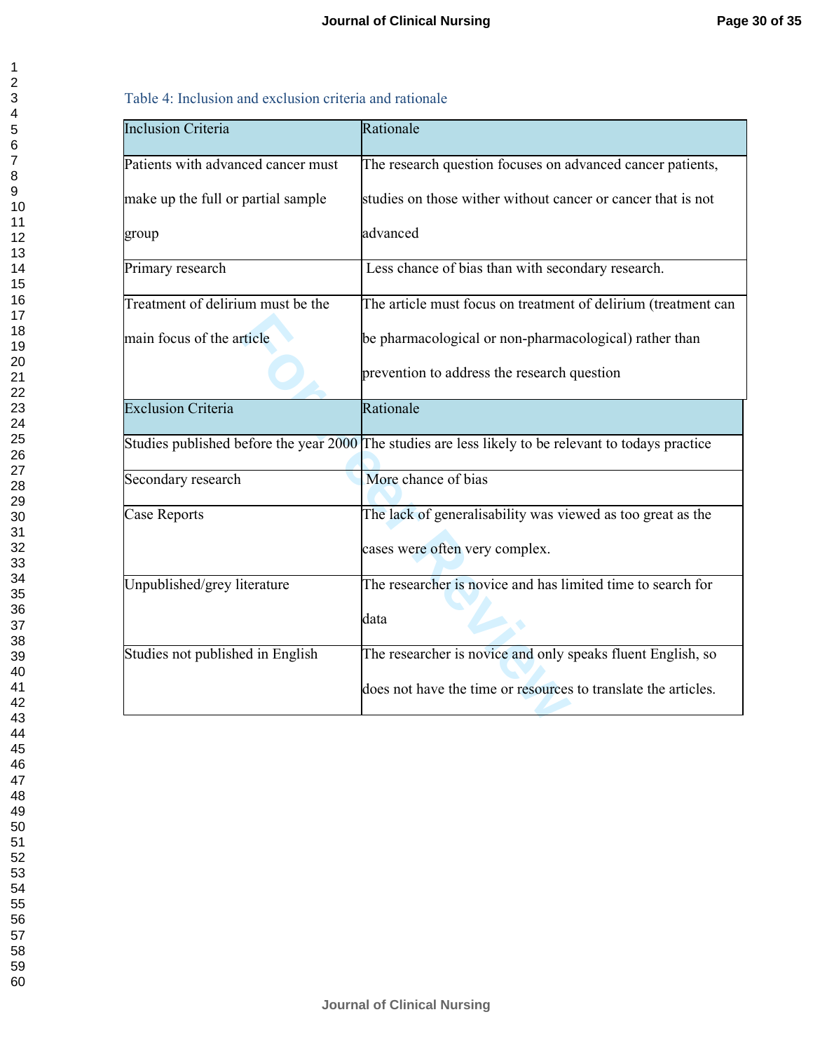|  |  | Table 4: Inclusion and exclusion criteria and rationale |
|--|--|---------------------------------------------------------|
|  |  |                                                         |

| <b>Inclusion Criteria</b>          | Rationale                                                                                            |
|------------------------------------|------------------------------------------------------------------------------------------------------|
| Patients with advanced cancer must | The research question focuses on advanced cancer patients,                                           |
| make up the full or partial sample | studies on those wither without cancer or cancer that is not                                         |
| group                              | advanced                                                                                             |
| Primary research                   | Less chance of bias than with secondary research.                                                    |
| Treatment of delirium must be the  | The article must focus on treatment of delirium (treatment can                                       |
| main focus of the article          | be pharmacological or non-pharmacological) rather than                                               |
|                                    | prevention to address the research question                                                          |
| <b>Exclusion Criteria</b>          | Rationale                                                                                            |
|                                    | Studies published before the year 2000 The studies are less likely to be relevant to todays practice |
| Secondary research                 | More chance of bias                                                                                  |
| Case Reports                       | The lack of generalisability was viewed as too great as the                                          |
|                                    | cases were often very complex.                                                                       |
| Unpublished/grey literature        | The researcher is novice and has limited time to search for                                          |
|                                    | data                                                                                                 |
| Studies not published in English   | The researcher is novice and only speaks fluent English, so                                          |
|                                    | does not have the time or resources to translate the articles.                                       |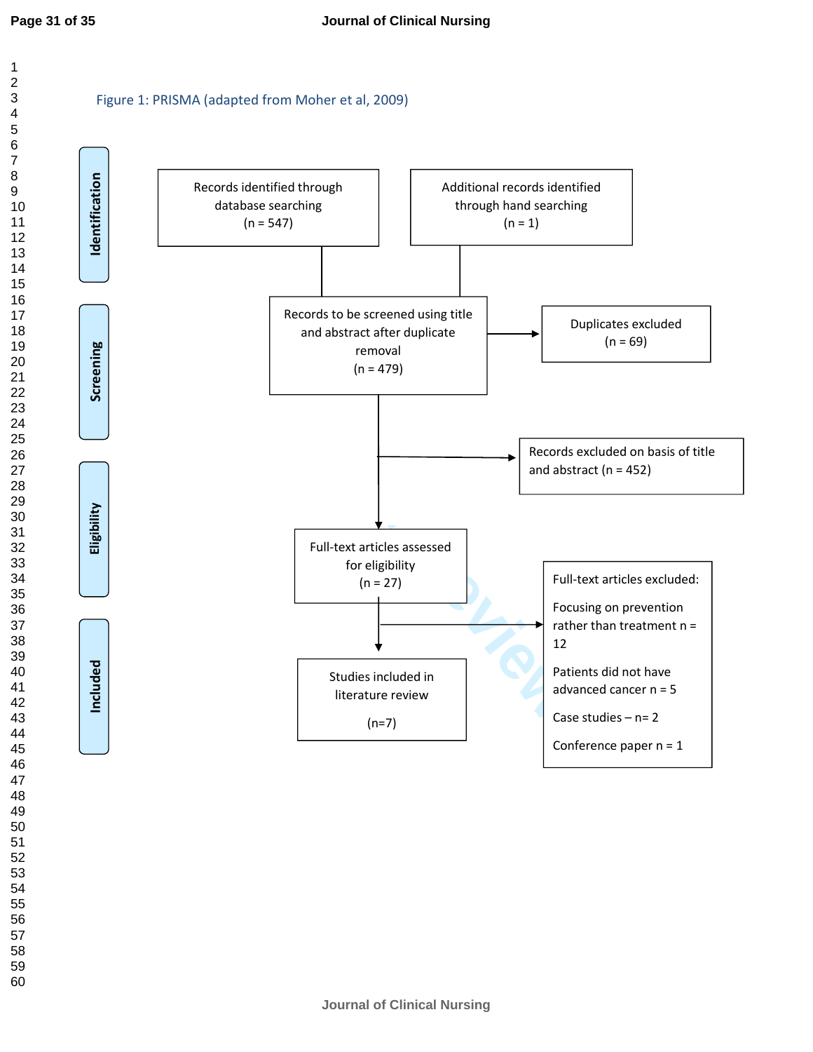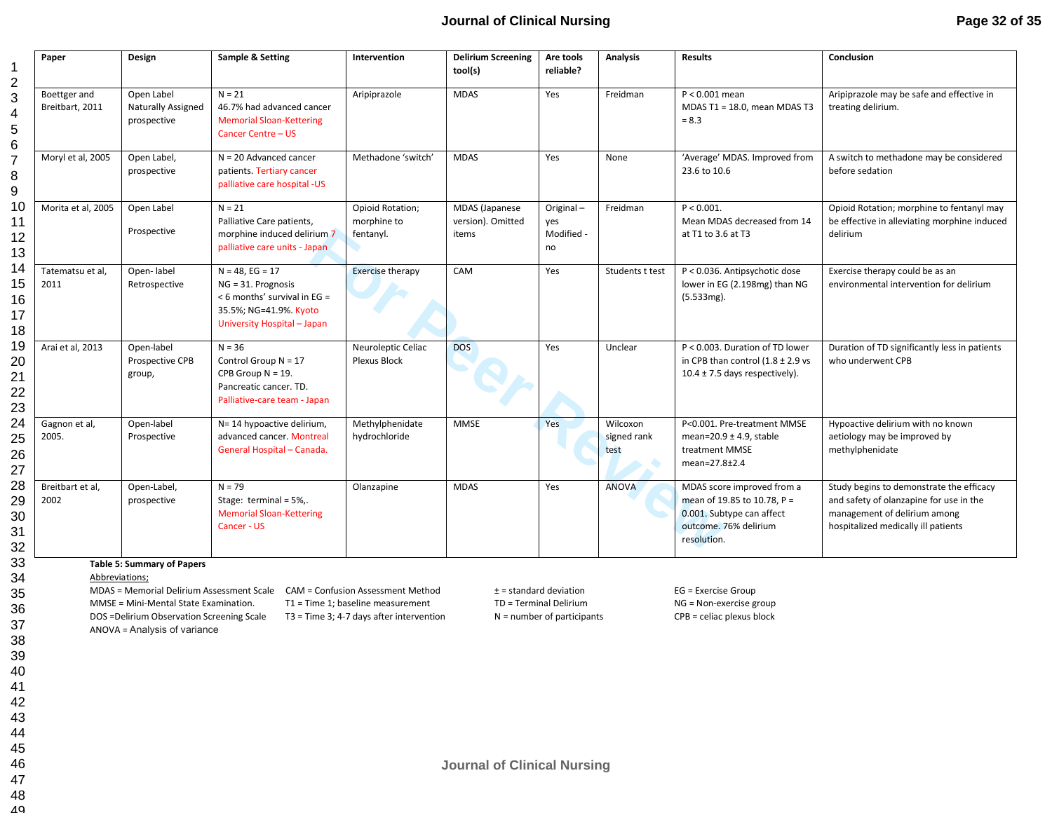#### **Journal of Clinical Nursing**

|                                 | Design                                                 | Sample & Setting                                                                                                                    | Intervention                                 | <b>Delirium Screening</b><br>tool(s)         | Are tools<br>reliable?               | <b>Analysis</b>                 | <b>Results</b>                                                                                                                 | Conclusion                                                                                                                                                 |
|---------------------------------|--------------------------------------------------------|-------------------------------------------------------------------------------------------------------------------------------------|----------------------------------------------|----------------------------------------------|--------------------------------------|---------------------------------|--------------------------------------------------------------------------------------------------------------------------------|------------------------------------------------------------------------------------------------------------------------------------------------------------|
| Boettger and<br>Breitbart, 2011 | Open Label<br><b>Naturally Assigned</b><br>prospective | $N = 21$<br>46.7% had advanced cancer<br><b>Memorial Sloan-Kettering</b><br>Cancer Centre - US                                      | Aripiprazole                                 | <b>MDAS</b>                                  | Yes                                  | Freidman                        | $P < 0.001$ mean<br>MDAS T1 = 18.0, mean MDAS T3<br>$= 8.3$                                                                    | Aripiprazole may be safe and effective in<br>treating delirium.                                                                                            |
| Moryl et al, 2005               | Open Label,<br>prospective                             | $N = 20$ Advanced cancer<br>patients. Tertiary cancer<br>palliative care hospital -US                                               | Methadone 'switch'                           | <b>MDAS</b>                                  | Yes                                  | None                            | 'Average' MDAS. Improved from<br>23.6 to 10.6                                                                                  | A switch to methadone may be considered<br>before sedation                                                                                                 |
| Morita et al, 2005              | Open Label<br>Prospective                              | $N = 21$<br>Palliative Care patients,<br>morphine induced delirium 7<br>palliative care units - Japan                               | Opioid Rotation;<br>morphine to<br>fentanyl. | MDAS (Japanese<br>version). Omitted<br>items | Original-<br>ves<br>Modified -<br>no | Freidman                        | $P < 0.001$ .<br>Mean MDAS decreased from 14<br>at T1 to 3.6 at T3                                                             | Opioid Rotation; morphine to fentanyl may<br>be effective in alleviating morphine induced<br>delirium                                                      |
| Tatematsu et al,<br>2011        | Open-label<br>Retrospective                            | $N = 48$ , EG = 17<br>$NG = 31.$ Prognosis<br>< 6 months' survival in EG =<br>35.5%; NG=41.9%. Kyoto<br>University Hospital - Japan | <b>Exercise therapy</b>                      | CAM                                          | Yes                                  | Students t test                 | P < 0.036. Antipsychotic dose<br>lower in EG (2.198mg) than NG<br>(5.533mg).                                                   | Exercise therapy could be as an<br>environmental intervention for delirium                                                                                 |
| Arai et al, 2013                | Open-label<br>Prospective CPB<br>group,                | $N = 36$<br>Control Group $N = 17$<br>CPB Group $N = 19$ .<br>Pancreatic cancer. TD.<br>Palliative-care team - Japan                | Neuroleptic Celiac<br>Plexus Block           | <b>DOS</b>                                   | Yes                                  | Unclear                         | P < 0.003. Duration of TD lower<br>in CPB than control $(1.8 \pm 2.9 \text{ vs }$<br>$10.4 \pm 7.5$ days respectively).        | Duration of TD significantly less in patients<br>who underwent CPB                                                                                         |
| Gagnon et al,<br>2005.          | Open-label<br>Prospective                              | N= 14 hypoactive delirium,<br>advanced cancer. Montreal<br>General Hospital - Canada.                                               | Methylphenidate<br>hydrochloride             | <b>MMSE</b>                                  | Yes                                  | Wilcoxon<br>signed rank<br>test | P<0.001. Pre-treatment MMSE<br>mean=20.9 $\pm$ 4.9, stable<br>treatment MMSE<br>mean=27.8±2.4                                  | Hypoactive delirium with no known<br>aetiology may be improved by<br>methylphenidate                                                                       |
| Breitbart et al,<br>2002        | Open-Label,<br>prospective                             | $N = 79$<br>Stage: terminal = $5\%$ .<br><b>Memorial Sloan-Kettering</b><br>Cancer - US                                             | Olanzapine                                   | <b>MDAS</b>                                  | Yes                                  | <b>ANOVA</b>                    | MDAS score improved from a<br>mean of 19.85 to 10.78, P =<br>0.001. Subtype can affect<br>outcome. 76% delirium<br>resolution. | Study begins to demonstrate the efficacy<br>and safety of olanzapine for use in the<br>management of delirium among<br>hospitalized medically ill patients |

MDAS = Memorial Delirium Assessment Scale CAM = Confusion Assessment Method  $\pm$  = standard deviation EG = Exercise Group MMSE = Mini-Mental State Examination. T1 = Time 1; baseline measurement TD = Terminal Delirium NG = Non-exercise group

DOS =Delirium Observation Screening Scale T3 = Time 3; 4-7 days after intervention N = number of participants CPB = celiac plexus block ANOVA = Analysis of variance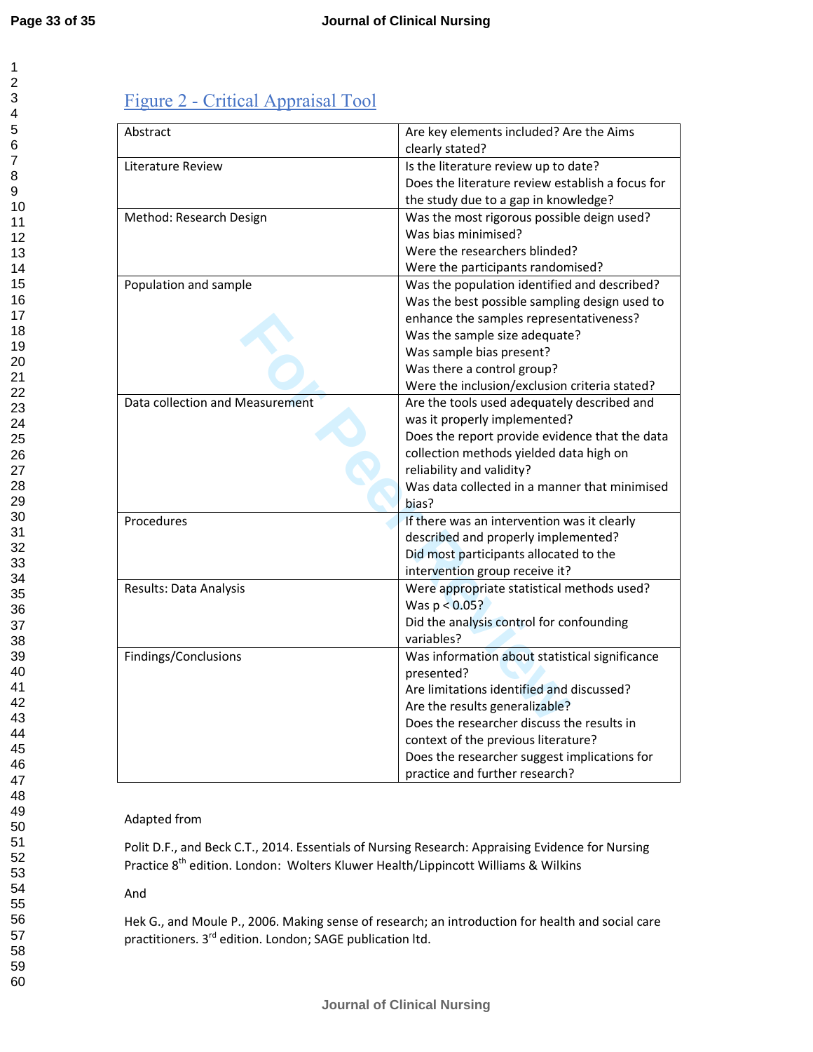### Figure 2 - Critical Appraisal Tool

| Abstract                        | Are key elements included? Are the Aims<br>clearly stated? |
|---------------------------------|------------------------------------------------------------|
|                                 |                                                            |
| Literature Review               | Is the literature review up to date?                       |
|                                 | Does the literature review establish a focus for           |
|                                 | the study due to a gap in knowledge?                       |
| Method: Research Design         | Was the most rigorous possible deign used?                 |
|                                 | Was bias minimised?                                        |
|                                 | Were the researchers blinded?                              |
|                                 | Were the participants randomised?                          |
| Population and sample           | Was the population identified and described?               |
|                                 | Was the best possible sampling design used to              |
|                                 | enhance the samples representativeness?                    |
|                                 | Was the sample size adequate?                              |
|                                 | Was sample bias present?                                   |
|                                 | Was there a control group?                                 |
|                                 | Were the inclusion/exclusion criteria stated?              |
| Data collection and Measurement | Are the tools used adequately described and                |
|                                 | was it properly implemented?                               |
|                                 | Does the report provide evidence that the data             |
|                                 | collection methods yielded data high on                    |
|                                 | reliability and validity?                                  |
|                                 | Was data collected in a manner that minimised              |
|                                 | bias?                                                      |
|                                 |                                                            |
| Procedures                      | If there was an intervention was it clearly                |
|                                 | described and properly implemented?                        |
|                                 | Did most participants allocated to the                     |
|                                 | intervention group receive it?                             |
| Results: Data Analysis          | Were appropriate statistical methods used?                 |
|                                 | Was $p < 0.05$ ?                                           |
|                                 | Did the analysis control for confounding                   |
|                                 | variables?                                                 |
| Findings/Conclusions            | Was information about statistical significance             |
|                                 | presented?                                                 |
|                                 | Are limitations identified and discussed?                  |
|                                 | Are the results generalizable?                             |
|                                 | Does the researcher discuss the results in                 |
|                                 | context of the previous literature?                        |
|                                 | Does the researcher suggest implications for               |
|                                 | practice and further research?                             |

#### Adapted from

Polit D.F., and Beck C.T., 2014. Essentials of Nursing Research: Appraising Evidence for Nursing Practice 8<sup>th</sup> edition. London: Wolters Kluwer Health/Lippincott Williams & Wilkins

#### And

Hek G., and Moule P., 2006. Making sense of research; an introduction for health and social care practitioners. 3<sup>rd</sup> edition. London; SAGE publication ltd.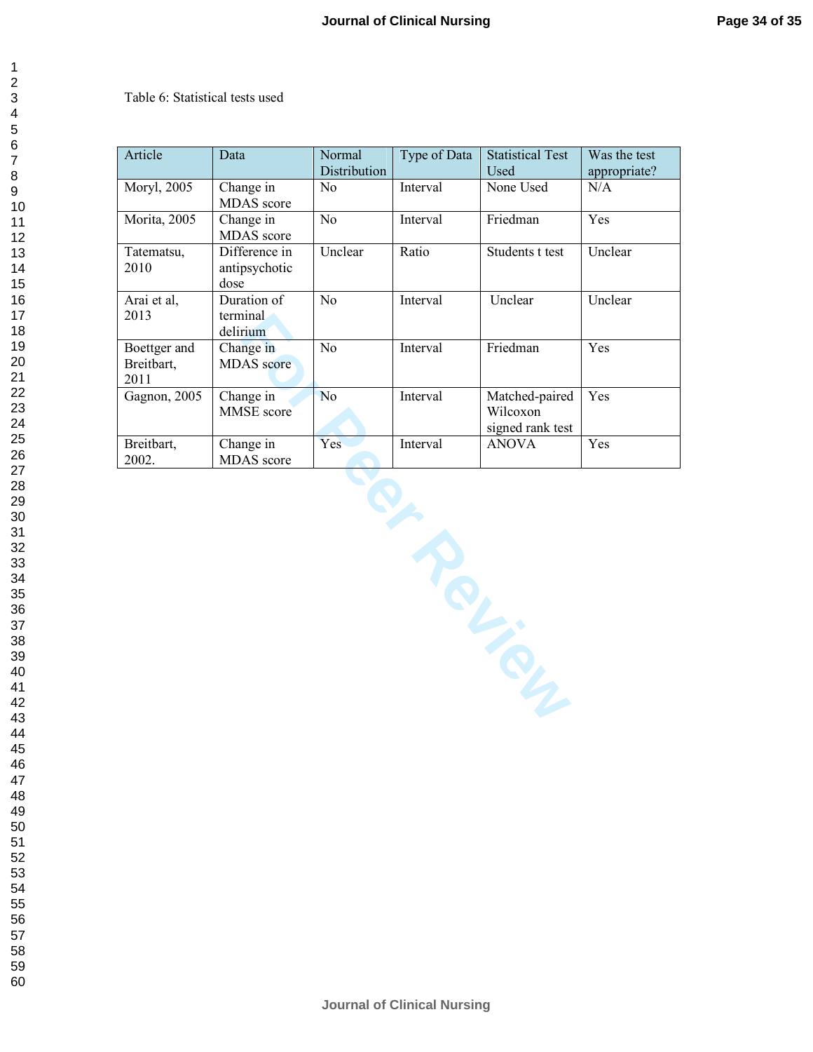#### Table 6: Statistical tests used

| Article                            | Data                                   | Normal           | Type of Data | <b>Statistical Test</b>                        | Was the test |
|------------------------------------|----------------------------------------|------------------|--------------|------------------------------------------------|--------------|
|                                    |                                        | Distribution     |              | Used                                           | appropriate? |
| Moryl, 2005                        | Change in<br>MDAS score                | No               | Interval     | None Used                                      | N/A          |
| Morita, 2005                       | Change in<br>MDAS score                | No               | Interval     | Friedman                                       | Yes          |
| Tatematsu,<br>2010                 | Difference in<br>antipsychotic<br>dose | Unclear<br>Ratio |              | Students t test                                | Unclear      |
| Arai et al,<br>2013                | Duration of<br>terminal<br>delirium    | $\overline{No}$  | Interval     | Unclear                                        | Unclear      |
| Boettger and<br>Breitbart,<br>2011 | Change in<br><b>MDAS</b> score         | No               | Interval     | Friedman                                       | Yes          |
| Gagnon, 2005                       | Change in<br>MMSE score                | N <sub>o</sub>   | Interval     | Matched-paired<br>Wilcoxon<br>signed rank test | Yes          |
| Breitbart,<br>2002.                | Change in<br>MDAS score                | Yes              | Interval     | <b>ANOVA</b>                                   | Yes          |
|                                    |                                        |                  |              | <b>PLANCING</b>                                |              |